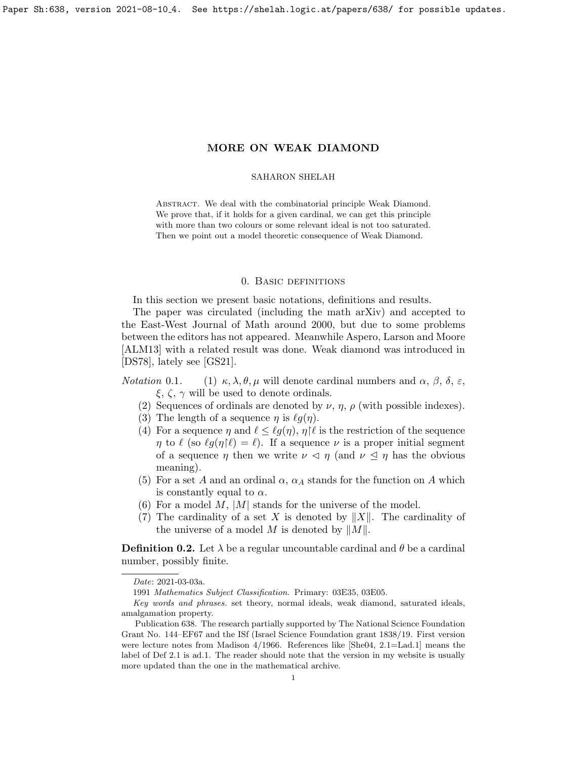<span id="page-0-0"></span>Paper Sh:638, version 2021-08-10 4. See https://shelah.logic.at/papers/638/ for possible updates.

# MORE ON WEAK DIAMOND

#### SAHARON SHELAH

ABSTRACT. We deal with the combinatorial principle Weak Diamond. We prove that, if it holds for a given cardinal, we can get this principle with more than two colours or some relevant ideal is not too saturated. Then we point out a model theoretic consequence of Weak Diamond.

## 0. Basic definitions

In this section we present basic notations, definitions and results.

The paper was circulated (including the math arXiv) and accepted to the East-West Journal of Math around 2000, but due to some problems between the editors has not appeared. Meanwhile Aspero, Larson and Moore [\[ALM13\]](#page-23-0) with a related result was done. Weak diamond was introduced in [\[DS78\]](#page-23-1), lately see [\[GS21\]](#page-23-2).

Notation 0.1. (1)  $\kappa, \lambda, \theta, \mu$  will denote cardinal numbers and  $\alpha, \beta, \delta, \varepsilon$ ,  $\xi, \zeta, \gamma$  will be used to denote ordinals.

- (2) Sequences of ordinals are denoted by  $\nu$ ,  $\eta$ ,  $\rho$  (with possible indexes).
- (3) The length of a sequence  $\eta$  is  $\ell g(\eta)$ .
- (4) For a sequence  $\eta$  and  $\ell \leq \ell g(\eta)$ ,  $\eta$ | $\ell$  is the restriction of the sequence  $\eta$  to  $\ell$  (so  $\ell g(\eta|\ell) = \ell$ ). If a sequence  $\nu$  is a proper initial segment of a sequence  $\eta$  then we write  $\nu \leq \eta$  (and  $\nu \leq \eta$  has the obvious meaning).
- (5) For a set A and an ordinal  $\alpha$ ,  $\alpha$ <sub>A</sub> stands for the function on A which is constantly equal to  $\alpha$ .
- (6) For a model  $M$ ,  $|M|$  stands for the universe of the model.
- (7) The cardinality of a set X is denoted by  $||X||$ . The cardinality of the universe of a model M is denoted by  $||M||$ .

<span id="page-0-1"></span>**Definition 0.2.** Let  $\lambda$  be a regular uncountable cardinal and  $\theta$  be a cardinal number, possibly finite.

Date: 2021-03-03a.

<sup>1991</sup> Mathematics Subject Classification. Primary: 03E35, 03E05.

Key words and phrases. set theory, normal ideals, weak diamond, saturated ideals, amalgamation property.

Publication 638. The research partially supported by The National Science Foundation Grant No. 144–EF67 and the ISf (Israel Science Foundation grant 1838/19. First version were lecture notes from Madison 4/1966. References like [\[She04,](#page-24-0) 2.1=Lad.1] means the label of Def 2.1 is ad.1. The reader should note that the version in my website is usually more updated than the one in the mathematical archive.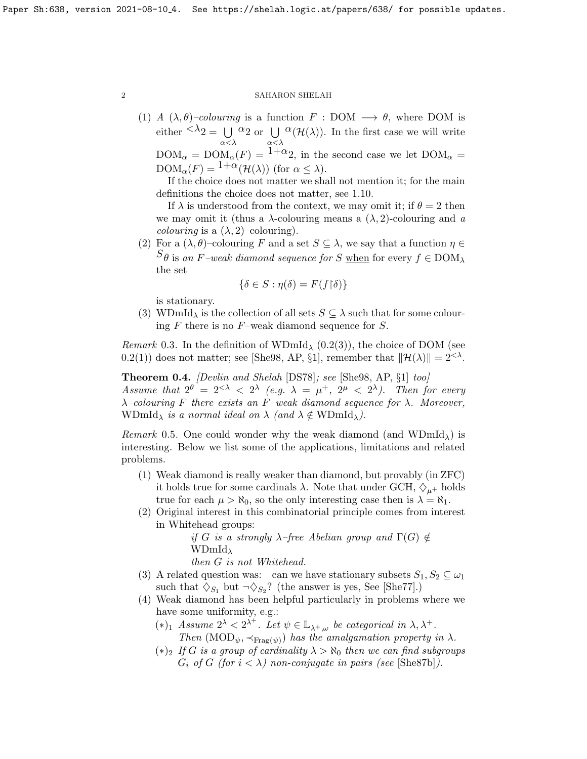(1) A  $(\lambda, \theta)$ –colouring is a function  $F : DOM \longrightarrow \theta$ , where DOM is either  $\langle \lambda_2 = \bigcup \alpha_2 \text{ or } \bigcup \alpha(\mathcal{H}(\lambda))$ . In the first case we will write  $\text{DOM}_{\alpha} = \text{DOM}_{\alpha}(F) = \frac{\alpha < \lambda}{1+\alpha}$  in the second case we let  $\text{DOM}_{\alpha} =$ 

 $\text{DOM}_{\alpha}(F) = \frac{1+\alpha}{\alpha}(\mathcal{H}(\lambda))$  (for  $\alpha \leq \lambda$ ).

If the choice does not matter we shall not mention it; for the main definitions the choice does not matter, see [1.10.](#page-0-0)

If  $\lambda$  is understood from the context, we may omit it; if  $\theta = 2$  then we may omit it (thus a  $\lambda$ -colouring means a  $(\lambda, 2)$ -colouring and a *colouring* is a  $(\lambda, 2)$ –colouring).

(2) For a  $(\lambda, \theta)$ –colouring F and a set  $S \subseteq \lambda$ , we say that a function  $\eta \in$  $S_{\theta}$  is an F–weak diamond sequence for S when for every  $f \in \text{DOM}_{\lambda}$ the set

$$
\{\delta \in S : \eta(\delta) = F(f \upharpoonright \delta)\}
$$

is stationary.

(3) WDmId<sub> $\lambda$ </sub> is the collection of all sets  $S \subseteq \lambda$  such that for some colouring  $F$  there is no  $F$ –weak diamond sequence for  $S$ .

*Remark* 0.3. In the definition of WDmId<sub> $\lambda$ </sub> [\(0.2\(](#page-0-1)3)), the choice of DOM (see [0.2\(](#page-0-1)1)) does not matter; see [\[She98,](#page-23-3) AP, §1], remember that  $\|\mathcal{H}(\lambda)\| = 2^{< \lambda}$ .

<span id="page-1-0"></span>Theorem 0.4. [Devlin and Shelah [\[DS78\]](#page-23-1); see [\[She98,](#page-23-3) AP, §1] too] Assume that  $2^{\theta} = 2^{\langle \lambda \rangle} \langle 2^{\lambda} \rangle$  (e.g.  $\lambda = \mu^+, 2^{\mu} \langle 2^{\lambda} \rangle$ ). Then for every  $\lambda$ -colouring F there exists an F-weak diamond sequence for  $\lambda$ . Moreover, WDmId<sub> $\lambda$ </sub> is a normal ideal on  $\lambda$  (and  $\lambda \notin \text{WDmId}_{\lambda}$ ).

*Remark* 0.5. One could wonder why the weak diamond (and WDmId<sub>1</sub>) is interesting. Below we list some of the applications, limitations and related problems.

- (1) Weak diamond is really weaker than diamond, but provably (in ZFC) it holds true for some cardinals  $\lambda$ . Note that under GCH,  $\Diamond_{\mu^+}$  holds true for each  $\mu > \aleph_0$ , so the only interesting case then is  $\lambda = \aleph_1$ .
- (2) Original interest in this combinatorial principle comes from interest in Whitehead groups:

if G is a strongly  $\lambda$ -free Abelian group and  $\Gamma(G) \notin$  $WDmId_{\lambda}$ 

then G is not Whitehead.

- (3) A related question was: can we have stationary subsets  $S_1, S_2 \subseteq \omega_1$ such that  $\diamondsuit_{S_1}$  but  $\neg \diamondsuit_{S_2}$ ? (the answer is yes, See [\[She77\]](#page-23-4).)
- (4) Weak diamond has been helpful particularly in problems where we have some uniformity, e.g.:
	- (\*)<sup>1</sup> Assume  $2^λ < 2^{λ^+}$ . Let  $ψ ∈ \mathbb{L}_{λ^+,ω}$  be categorical in  $λ, λ^+$ . Then  $(MOD_{\psi}, \prec_{\text{Frag}(\psi)})$  has the amalgamation property in  $\lambda$ .
	- $(*)_2$  If G is a group of cardinality  $\lambda > \aleph_0$  then we can find subgroups  $G_i$  of G (for  $i < \lambda$ ) non-conjugate in pairs (see [\[She87b\]](#page-23-5)).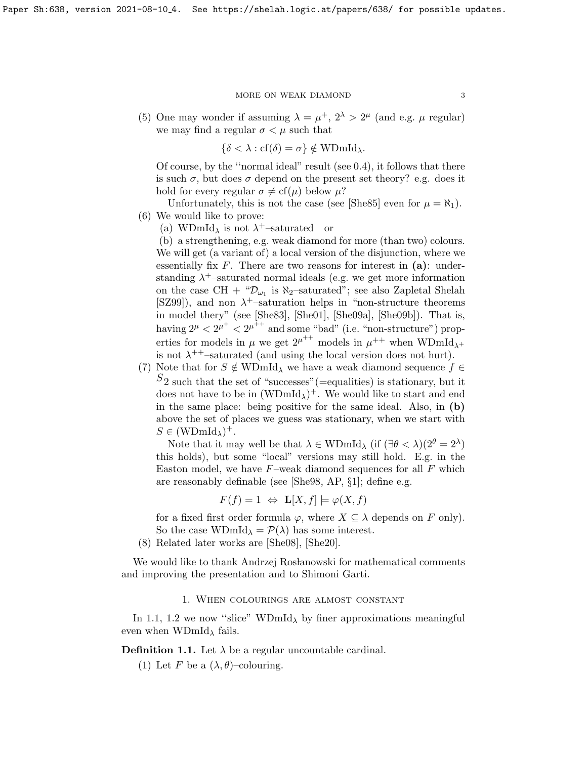(5) One may wonder if assuming  $\lambda = \mu^+, 2^{\lambda} > 2^{\mu}$  (and e.g.  $\mu$  regular) we may find a regular  $\sigma < \mu$  such that

$$
\{\delta < \lambda : \text{cf}(\delta) = \sigma\} \notin \text{WDmId}_{\lambda}.
$$

Of course, by the ''normal ideal" result (see [0.4\)](#page-1-0), it follows that there is such  $\sigma$ , but does  $\sigma$  depend on the present set theory? e.g. does it hold for every regular  $\sigma \neq cf(\mu)$  below  $\mu$ ?

Unfortunately, this is not the case (see [\[She85\]](#page-23-6) even for  $\mu = \aleph_1$ ). (6) We would like to prove:

(a) WDmId<sub> $\lambda$ </sub> is not  $\lambda^+$ -saturated or

(b) a strengthening, e.g. weak diamond for more (than two) colours. We will get (a variant of) a local version of the disjunction, where we essentially fix  $F$ . There are two reasons for interest in  $(a)$ : understanding  $\lambda^+$ -saturated normal ideals (e.g. we get more information on the case CH +  $\mathcal{D}_{\omega_1}$  is  $\aleph_2$ -saturated"; see also Zapletal Shelah [\[SZ99\]](#page-24-1)), and non  $\lambda^+$ -saturation helps in "non-structure theorems in model thery" (see [\[She83\]](#page-23-7), [\[She01\]](#page-23-8), [\[She09a\]](#page-24-2), [\[She09b\]](#page-24-3)). That is, having  $2^{\mu} < 2^{\mu^+} < 2^{\mu^++}$  and some "bad" (i.e. "non-structure") properties for models in  $\mu$  we get  $2^{\mu^{++}}$  models in  $\mu^{++}$  when WDmId<sub> $\lambda^+$ </sub> is not  $\lambda^{++}$ -saturated (and using the local version does not hurt).

(7) Note that for  $S \notin \text{WDmId}_{\lambda}$  we have a weak diamond sequence  $f \in$  $S_2$  such that the set of "successes" (=equalities) is stationary, but it does not have to be in  $(WDmId_{\lambda})^+$ . We would like to start and end in the same place: being positive for the same ideal. Also, in (b) above the set of places we guess was stationary, when we start with  $S \in (\text{WDmId}_{\lambda})^+.$ 

Note that it may well be that  $\lambda \in \text{WDmId}_{\lambda}$  (if  $(\exists \theta < \lambda)(2^{\theta} = 2^{\lambda})$ this holds), but some "local" versions may still hold. E.g. in the Easton model, we have  $F$ –weak diamond sequences for all  $F$  which are reasonably definable (see [\[She98,](#page-23-3) AP, §1]; define e.g.

$$
F(f) = 1 \Leftrightarrow \mathbf{L}[X, f] \models \varphi(X, f)
$$

for a fixed first order formula  $\varphi$ , where  $X \subseteq \lambda$  depends on F only). So the case  $WDmId_{\lambda} = \mathcal{P}(\lambda)$  has some interest.

(8) Related later works are [\[She08\]](#page-24-4), [\[She20\]](#page-24-5).

We would like to thank Andrzej Rosłanowski for mathematical comments and improving the presentation and to Shimoni Garti.

## 1. When colourings are almost constant

In [1.1,](#page-2-0) [1.2](#page-3-0) we now "slice" WDmId<sub> $\lambda$ </sub> by finer approximations meaningful even when  $WDmId_{\lambda}$  fails.

<span id="page-2-0"></span>**Definition 1.1.** Let  $\lambda$  be a regular uncountable cardinal.

(1) Let F be a  $(\lambda, \theta)$ –colouring.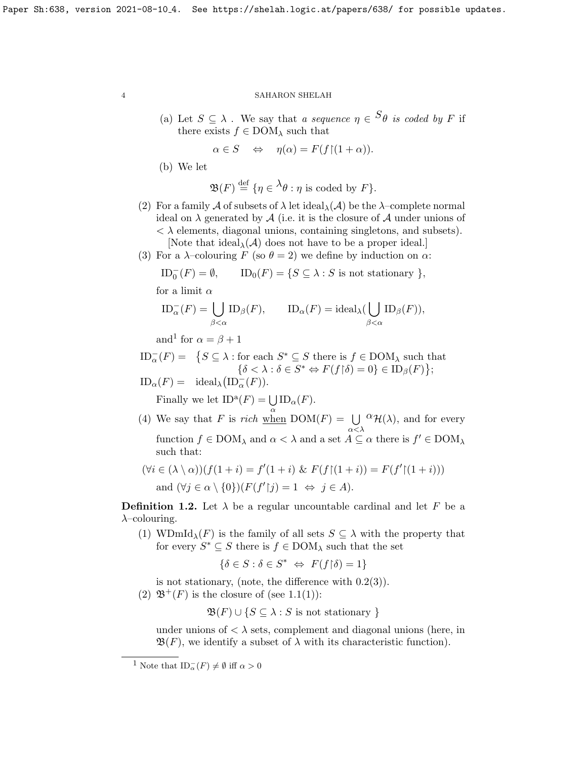(a) Let  $S \subseteq \lambda$ . We say that a sequence  $\eta \in S_{\theta}$  is coded by F if there exists  $f \in \text{DOM}_\lambda$  such that

$$
\alpha \in S \quad \Leftrightarrow \quad \eta(\alpha) = F(f \restriction (1 + \alpha)).
$$

(b) We let

$$
\mathfrak{B}(F) \stackrel{\text{def}}{=} \{ \eta \in {}^{\lambda} \theta : \eta \text{ is coded by } F \}.
$$

(2) For a family A of subsets of  $\lambda$  let ideal $_{\lambda}(\mathcal{A})$  be the  $\lambda$ -complete normal ideal on  $\lambda$  generated by  $\mathcal A$  (i.e. it is the closure of  $\mathcal A$  under unions of  $\langle \lambda \rangle$  elements, diagonal unions, containing singletons, and subsets).

[Note that ideal<sub> $\lambda$ </sub>( $\mathcal{A}$ ) does not have to be a proper ideal.]

(3) For a  $\lambda$ -colouring F (so  $\theta = 2$ ) we define by induction on  $\alpha$ :

$$
ID_0^-(F) = \emptyset, \qquad ID_0(F) = \{ S \subseteq \lambda : S \text{ is not stationary } \},
$$

for a limit  $\alpha$ 

$$
ID_{\alpha}^{-}(F) = \bigcup_{\beta < \alpha} ID_{\beta}(F), \qquad ID_{\alpha}(F) = ideal_{\lambda}(\bigcup_{\beta < \alpha} ID_{\beta}(F)),
$$

and<sup>[1](#page-3-1)</sup> for  $\alpha = \beta + 1$ 

 $ID_{\alpha}^{-}(F) = \{ S \subseteq \lambda : \text{for each } S^* \subseteq S \text{ there is } f \in \text{DOM}_{\lambda} \text{ such that }$  $\{\delta < \lambda : \delta \in S^* \Leftrightarrow F(f \upharpoonright \delta) = 0\} \in \mathrm{ID}_{\beta}(F)\};$ 

 $ID_{\alpha}(F) = \text{ideal}_{\lambda} (ID_{\alpha}^-(F)).$ 

Finally we let  $ID^{\mathfrak{a}}(F) = \bigcup$  $\bigcup_{\alpha} {\rm ID}_{\alpha}(F).$ 

(4) We say that F is rich when  $DOM(F) = \bigcup$ α<λ  ${}^{\alpha}$ H( $\lambda$ ), and for every function  $f \in \text{DOM}_\lambda$  and  $\alpha < \lambda$  and a set  $A \subseteq \alpha$  there is  $f' \in \text{DOM}_\lambda$ such that:

$$
(\forall i \in (\lambda \setminus \alpha))(f(1+i) = f'(1+i) \& F(f \restriction (1+i)) = F(f' \restriction (1+i)))
$$
  
and 
$$
(\forall j \in \alpha \setminus \{0\})(F(f' \restriction j) = 1 \Leftrightarrow j \in A).
$$

<span id="page-3-0"></span>**Definition 1.2.** Let  $\lambda$  be a regular uncountable cardinal and let F be a  $\lambda$ –colouring.

(1) WDmId<sub> $\lambda$ </sub>(F) is the family of all sets  $S \subseteq \lambda$  with the property that for every  $S^* \subseteq S$  there is  $f \in \text{DOM}_\lambda$  such that the set

$$
\{\delta \in S : \delta \in S^* \iff F(f \upharpoonright \delta) = 1\}
$$

is not stationary, (note, the difference with  $0.2(3)$ ).

(2)  $\mathfrak{B}^+(F)$  is the closure of (see [1.1\(](#page-2-0)1)):

$$
\mathfrak{B}(F) \cup \{ S \subseteq \lambda : S \text{ is not stationary } \}
$$

under unions of  $\langle \lambda \rangle$  sets, complement and diagonal unions (here, in  $\mathfrak{B}(F)$ , we identify a subset of  $\lambda$  with its characteristic function).

<span id="page-3-1"></span><sup>&</sup>lt;sup>1</sup> Note that  $ID_{\alpha}^{-}(F) \neq \emptyset$  iff  $\alpha > 0$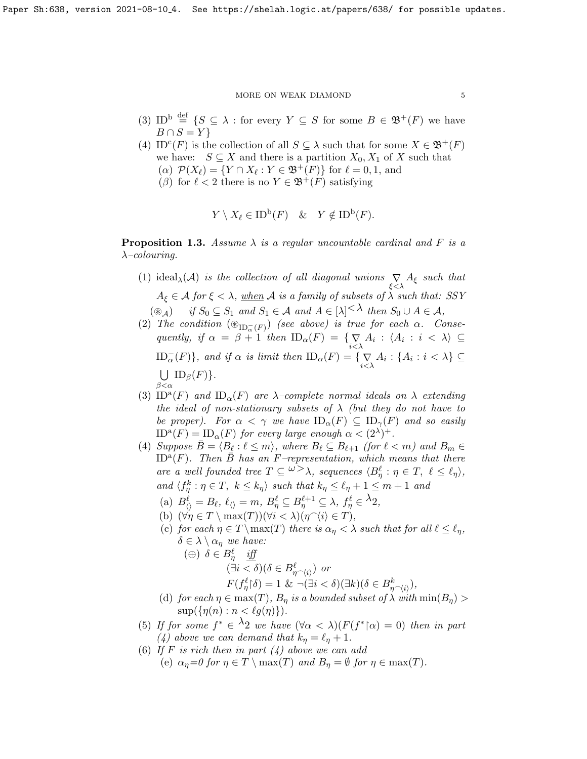#### $\,$  MORE ON WEAK DIAMOND  $\,$  5  $\,$

- (3) ID<sup>b</sup>  $\stackrel{\text{def}}{=}$  { $S \subseteq \lambda$  : for every  $Y \subseteq S$  for some  $B \in \mathfrak{B}^+(F)$  we have  $B \cap S = Y$
- (4) ID<sup>c</sup>(F) is the collection of all  $S \subseteq \lambda$  such that for some  $X \in \mathfrak{B}^+(F)$ we have:  $S \subseteq X$  and there is a partition  $X_0, X_1$  of X such that (a)  $\mathcal{P}(X_{\ell}) = \{ Y \cap X_{\ell} : Y \in \mathfrak{B}^+(F) \}$  for  $\ell = 0, 1$ , and
	- ( $\beta$ ) for  $\ell < 2$  there is no  $Y \in \mathfrak{B}^+(F)$  satisfying

$$
Y \setminus X_{\ell} \in \mathrm{ID}^{\mathrm{b}}(F) \quad \& \quad Y \notin \mathrm{ID}^{\mathrm{b}}(F).
$$

<span id="page-4-0"></span>**Proposition 1.3.** Assume  $\lambda$  is a regular uncountable cardinal and F is a  $\lambda$ –colouring.

- (1) ideal<sub> $\lambda$ </sub>(*A*) is the collection of all diagonal unions  $\sum_{\xi < \lambda} A_{\xi}$  such that  $A_{\xi} \in \mathcal{A}$  for  $\xi < \lambda$ , when  $\mathcal{A}$  is a family of subsets of  $\lambda$  such that: SSY  $(\circledast_{\mathcal{A}})$  if  $S_0 \subseteq S_1$  and  $S_1 \in \mathcal{A}$  and  $A \in [\lambda]^{<\lambda}$  then  $S_0 \cup A \in \mathcal{A}$ ,
- (2) The condition  $(\circledast_{\mathrm{ID}_\alpha^- (F)})$  (see above) is true for each  $\alpha$ . Consequently, if  $\alpha = \beta + 1$  then  $ID_{\alpha}(F) = \{ \sum_{i < \lambda} A_i : \langle A_i : i < \lambda \rangle \subseteq$  $\text{ID}_{\alpha}^{-}(F)$ , and if  $\alpha$  is limit then  $\text{ID}_{\alpha}(F) = \{ \sum_{i \leq \lambda} A_i : \{A_i : i \leq \lambda\} \subseteq$  $\bigcup$  ID<sub>β</sub> $(F)$ }.  $\beta < \alpha$
- (3) ID<sup>a</sup>(F) and ID<sub> $\alpha$ </sub>(F) are  $\lambda$ -complete normal ideals on  $\lambda$  extending the ideal of non-stationary subsets of  $\lambda$  (but they do not have to be proper). For  $\alpha < \gamma$  we have  $ID_{\alpha}(F) \subseteq ID_{\gamma}(F)$  and so easily  $ID^{\mathbf{a}}(F) = ID_{\alpha}(F)$  for every large enough  $\alpha < (2^{\lambda})^+$ .
- (4) Suppose  $\bar{B} = \langle B_\ell : \ell \leq m \rangle$ , where  $B_\ell \subseteq B_{\ell+1}$  (for  $\ell < m$ ) and  $B_m \in$  $\overline{\text{ID}^{\text{a}}(F)}$ . Then  $\overline{B}$  has an F-representation, which means that there are a well founded tree  $T \subseteq \omega > \lambda$ , sequences  $\langle B^\ell_\eta : \eta \in T, \ell \leq \ell_\eta \rangle$ , and  $\langle f_{\eta}^k : \eta \in T, k \leq k_{\eta} \rangle$  such that  $k_{\eta} \leq \ell_{\eta} + 1 \leq m + 1$  and
	- (a)  $B_{\langle\rangle}^{\ell} = B_{\ell}, \ \ell_{\langle\rangle} = m, \ B_{\eta}^{\ell} \subseteq B_{\eta}^{\ell+1} \subseteq \lambda, \ f_{\eta}^{\ell} \in {}^{\lambda}2,$
	- (b)  $(\forall \eta \in T \setminus \max(T))(\forall i < \lambda)(\eta \hat{\ } i \in T),$
	- (c) for each  $\eta \in T \setminus \max(T)$  there is  $\alpha_{\eta} < \lambda$  such that for all  $\ell \leq \ell_n$ ,  $\delta \in \lambda \setminus \alpha_{\eta}$  we have:
		- (⊕)  $\delta \in B_{\eta}^{\ell}$  iff  $(\exists i < \delta)(\delta \in B_{\eta^\frown \langle i \rangle}^\ell)$  or  $F(f_{\eta}^{\ell}|\delta) = 1 \& \neg (\exists i < \delta)(\exists k)(\delta \in B_{\eta \cap \langle i \rangle}^{k}),$
	- (d) for each  $\eta \in \max(T)$ ,  $B_{\eta}$  is a bounded subset of  $\lambda$  with  $\min(B_{\eta})$  $\sup(\{\eta(n) : n < \ell g(\eta)\}).$
- (5) If for some  $f^* \in \lambda_2$  we have  $(\forall \alpha < \lambda)(F(f^* | \alpha) = 0)$  then in part (4) above we can demand that  $k_n = \ell_n + 1$ .
- (6) If F is rich then in part  $(4)$  above we can add (e)  $\alpha_{\eta} = 0$  for  $\eta \in T \setminus \max(T)$  and  $B_{\eta} = \emptyset$  for  $\eta \in \max(T)$ .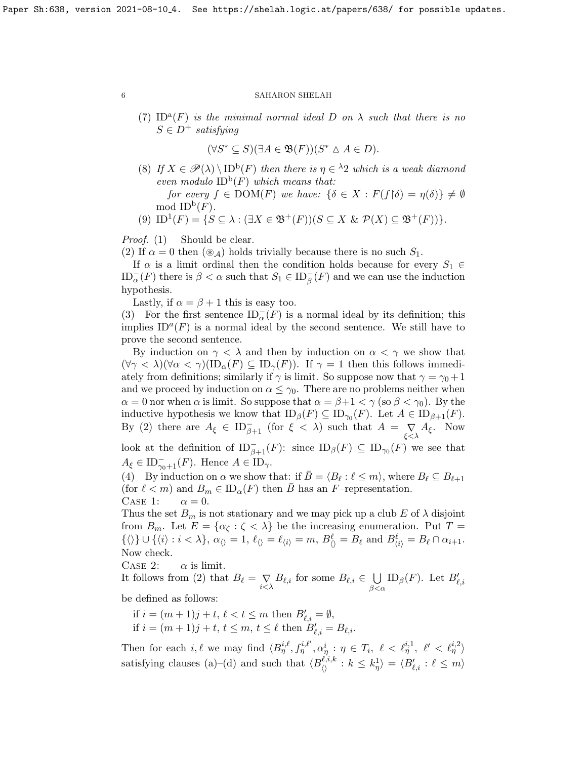(7) ID<sup>a</sup>(F) is the minimal normal ideal D on  $\lambda$  such that there is no  $S \in D^+$  satisfying

$$
(\forall S^* \subseteq S)(\exists A \in \mathfrak{B}(F))(S^* \triangle A \in D).
$$

(8) If  $X \in \mathscr{P}(\lambda) \setminus \text{ID}^{\text{b}}(F)$  then there is  $\eta \in {}^{\lambda}2$  which is a weak diamond even modulo  $ID^b(F)$  which means that: for every  $f \in \text{DOM}(F)$  we have:  $\{\delta \in X : F(f \restriction \delta) = \eta(\delta)\}\neq \emptyset$ 

mod  $\mathrm{ID}^{\mathrm{b}}(F)$ .

(9) ID<sup>1</sup>(F) = { $S \subseteq \lambda : (\exists X \in \mathfrak{B}^+(F))(S \subseteq X \& \mathcal{P}(X) \subseteq \mathfrak{B}^+(F))$  }.

Proof. (1) Should be clear.

(2) If  $\alpha = 0$  then  $(\mathcal{A})$  holds trivially because there is no such  $S_1$ .

If  $\alpha$  is a limit ordinal then the condition holds because for every  $S_1 \in$  $\text{ID}_{\alpha}^{-}(F)$  there is  $\beta < \alpha$  such that  $S_1 \in \text{ID}_{\beta}^{-}(F)$  and we can use the induction hypothesis.

Lastly, if  $\alpha = \beta + 1$  this is easy too.

(3) For the first sentence  $ID_{\alpha}^{-}(F)$  is a normal ideal by its definition; this implies  $ID^{a}(F)$  is a normal ideal by the second sentence. We still have to prove the second sentence.

By induction on  $\gamma < \lambda$  and then by induction on  $\alpha < \gamma$  we show that  $(\forall \gamma < \lambda)(\forall \alpha < \gamma)(ID_{\alpha}(F) \subseteq ID_{\gamma}(F)).$  If  $\gamma = 1$  then this follows immediately from definitions; similarly if  $\gamma$  is limit. So suppose now that  $\gamma = \gamma_0 + 1$ and we proceed by induction on  $\alpha \leq \gamma_0$ . There are no problems neither when  $\alpha = 0$  nor when  $\alpha$  is limit. So suppose that  $\alpha = \beta + 1 < \gamma$  (so  $\beta < \gamma_0$ ). By the inductive hypothesis we know that  $ID_\beta(F) \subseteq ID_{\gamma_0}(F)$ . Let  $A \in ID_{\beta+1}(F)$ . By (2) there are  $A_{\xi} \in ID_{\beta+1}^-$  (for  $\xi < \lambda$ ) such that  $A = \sum_{\xi < \lambda} A_{\xi}$ . Now

look at the definition of  $ID_{\beta+1}^-(F)$ : since  $ID_{\beta}(F) \subseteq ID_{\gamma_0}(F)$  we see that  $A_{\xi} \in \mathrm{ID}_{\gamma_0+1}^-(F)$ . Hence  $A \in \mathrm{ID}_{\gamma}$ .

(4) By induction on  $\alpha$  we show that: if  $\overline{B} = \langle B_\ell : \ell \leq m \rangle$ , where  $B_\ell \subseteq B_{\ell+1}$ (for  $\ell < m$ ) and  $B_m \in ID_\alpha(F)$  then  $\bar{B}$  has an F–representation. CASE 1:  $\alpha = 0$ .

Thus the set  $B_m$  is not stationary and we may pick up a club E of  $\lambda$  disjoint from  $B_m$ . Let  $E = {\alpha_{\zeta} : \zeta < \lambda}$  be the increasing enumeration. Put  $T =$  $\{\langle\rangle\} \cup \{\langle i \rangle : i < \lambda\}, \ \alpha_{\langle\rangle} = 1, \ \ell_{\langle\rangle} = \ell_{\langle i\rangle} = m, \ B^\ell_{\langle\rangle} = B_\ell \text{ and } B^\ell_{\langle i\rangle} = B_\ell \cap \alpha_{i+1}.$ Now check.

CASE 2:  $\alpha$  is limit.

It follows from (2) that  $B_\ell = \bigvee_{i < \lambda} B_{\ell,i}$  for some  $B_{\ell,i} \in \bigcup_{\beta < \ell}$  $\beta<\alpha$ ID<sub>β</sub>(*F*). Let  $B'_{\ell,i}$ 

be defined as follows:

if  $i = (m + 1)j + t$ ,  $\ell < t \le m$  then  $B'_{\ell,i} = \emptyset$ , if  $i = (m + 1)j + t, t \leq m, t \leq \ell$  then  $B'_{\ell,i} = B_{\ell,i}$ .

Then for each i,  $\ell$  we may find  $\langle B_{\eta}^{i,\ell}, f_{\eta}^{i,\ell'}, \alpha_{\eta}^i : \eta \in T_i, \ell < \ell_{\eta}^{i,1}, \ell' < \ell_{\eta}^{i,2} \rangle$ satisfying clauses (a)–(d) and such that  $\langle B_{\langle\rangle}^{\ell,i,k} : k \leq k_{\eta}^{1} \rangle = \langle B_{\ell,i}' : \ell \leq m \rangle$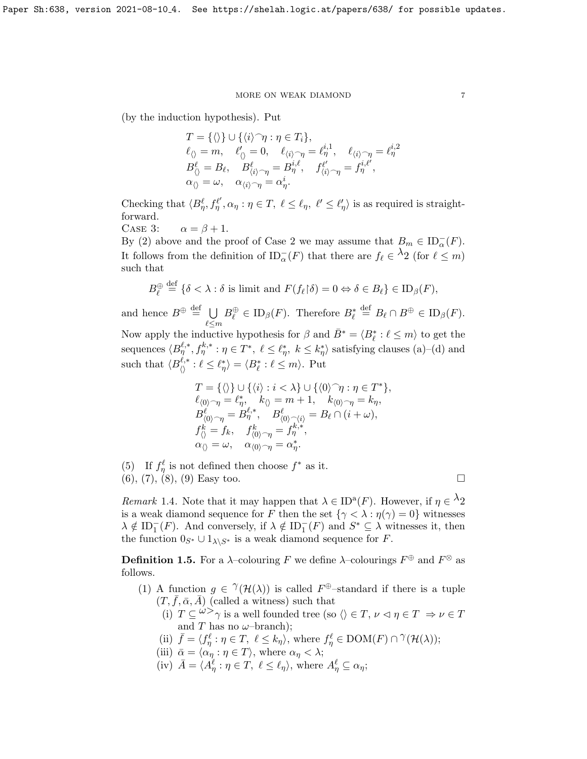(by the induction hypothesis). Put

$$
T = \{\langle\rangle\} \cup \{\langle i\rangle^\frown\eta : \eta \in T_i\},
$$
  
\n
$$
\ell_{\langle\rangle} = m, \quad \ell'_{\langle\rangle} = 0, \quad \ell_{\langle i\rangle^\frown\eta} = \ell^{i,1}_{\eta}, \quad \ell_{\langle i\rangle^\frown\eta} = \ell^{i,2}_{\eta}
$$
  
\n
$$
B^\ell_{\langle\rangle} = B_\ell, \quad B^\ell_{\langle i\rangle^\frown\eta} = B^{i,\ell}_{\eta}, \quad f^{\ell'}_{\langle i\rangle^\frown\eta} = f^{i,\ell'}_{\eta},
$$
  
\n
$$
\alpha_{\langle\rangle} = \omega, \quad \alpha_{\langle i\rangle^\frown\eta} = \alpha^i_{\eta}.
$$

Checking that  $\langle B^\ell_\eta, f^{\ell'}_\eta, \alpha_\eta : \eta \in T, \ell \leq \ell_\eta, \ell' \leq \ell'_\eta \rangle$  is as required is straightforward.

CASE 3: 
$$
\alpha = \beta + 1
$$
.

By (2) above and the proof of Case 2 we may assume that  $B_m \in \mathrm{ID}_{\alpha}^-(F)$ . It follows from the definition of  $ID_{\alpha}^{-}(F)$  that there are  $f_{\ell} \in {}^{\lambda}2$  (for  $\ell \leq m$ ) such that

$$
B_{\ell}^{\oplus} \stackrel{\text{def}}{=} \{ \delta < \lambda : \delta \text{ is limit and } F(f_{\ell} \upharpoonright \delta) = 0 \Leftrightarrow \delta \in B_{\ell} \} \in \text{ID}_{\beta}(F),
$$

and hence  $B^{\oplus} \stackrel{\text{def}}{=} \bigcup$  $\ell{\leq}m$  $B_{\ell}^{\oplus} \in \mathrm{ID}_{\beta}(F)$ . Therefore  $B_{\ell}^* \stackrel{\text{def}}{=} B_{\ell} \cap B^{\oplus} \in \mathrm{ID}_{\beta}(F)$ . Now apply the inductive hypothesis for  $\beta$  and  $\bar{B}^* = \langle B^*_{\ell} : \ell \leq m \rangle$  to get the sequences  $\langle B^{\ell,*}_{\eta}, f^{k,*}_{\eta} : \eta \in T^*, \ell \leq \ell^*_{\eta}, k \leq k^*_{\eta} \rangle$  satisfying clauses (a)–(d) and such that  $\langle B^{\ell,*}_{\langle\rangle} : \ell \leq \ell^*_\eta \rangle = \langle B^*_\ell : \ell \leq m \rangle$ . Put

$$
T = \{\langle\rangle\} \cup \{\langle i\rangle : i < \lambda\} \cup \{\langle 0\rangle^\frown\eta : \eta \in T^*\},
$$
  
\n
$$
\ell_{\langle 0\rangle^\frown\eta} = \ell_\eta^*, \quad k_{\langle\rangle} = m + 1, \quad k_{\langle 0\rangle^\frown\eta} = k_\eta,
$$
  
\n
$$
B_{\langle 0\rangle^\frown\eta}^\ell = B_\eta^{\ell,*}, \quad B_{\langle 0\rangle^\frown\langle i\rangle}^\ell = B_\ell \cap (i + \omega),
$$
  
\n
$$
f_{\langle\rangle}^k = f_k, \quad f_{\langle 0\rangle^\frown\eta}^k = f_\eta^{k,*},
$$
  
\n
$$
\alpha_{\langle\rangle} = \omega, \quad \alpha_{\langle 0\rangle^\frown\eta} = \alpha_\eta^*.
$$

(5) If  $f_{\eta}^{\ell}$  is not defined then choose  $f^*$  as it.

 $(6), (7), (8), (9)$  Easy too.

Remark 1.4. Note that it may happen that  $\lambda \in ID^a(F)$ . However, if  $\eta \in \lambda_2$ is a weak diamond sequence for F then the set  $\{\gamma < \lambda : \eta(\gamma) = 0\}$  witnesses  $\lambda \notin \mathrm{ID}_1^-(F)$ . And conversely, if  $\lambda \notin \mathrm{ID}_1^-(F)$  and  $S^* \subseteq \lambda$  witnesses it, then the function  $0_{S^*} \cup 1_{\lambda \setminus S^*}$  is a weak diamond sequence for F.

<span id="page-6-0"></span>**Definition 1.5.** For a  $\lambda$ -colouring F we define  $\lambda$ -colourings  $F^{\oplus}$  and  $F^{\otimes}$  as follows.

- (1) A function  $g \in \mathcal{H}(\mathcal{H}(\lambda))$  is called  $F^{\oplus}$ -standard if there is a tuple  $(T, \bar{f}, \bar{\alpha}, \bar{A})$  (called a witness) such that
	- (i)  $T \subseteq \omega > \gamma$  is a well founded tree (so  $\langle \rangle \in T$ ,  $\nu \le \eta \in T \Rightarrow \nu \in T$ and T has no  $\omega$ -branch);
	- (ii)  $\bar{f} = \langle f_{\eta}^{\ell} : \eta \in T, \ \ell \leq k_{\eta} \rangle$ , where  $f_{\eta}^{\ell} \in \text{DOM}(F) \cap \gamma(\mathcal{H}(\lambda));$
	- (iii)  $\bar{\alpha} = \langle \alpha_{\eta} : \eta \in T \rangle$ , where  $\alpha_{\eta} < \lambda$ ;
	- (iv)  $\bar{A} = \langle A_\eta^\ell : \eta \in T, \ell \leq \ell_\eta \rangle$ , where  $A_\eta^\ell \subseteq \alpha_\eta$ ;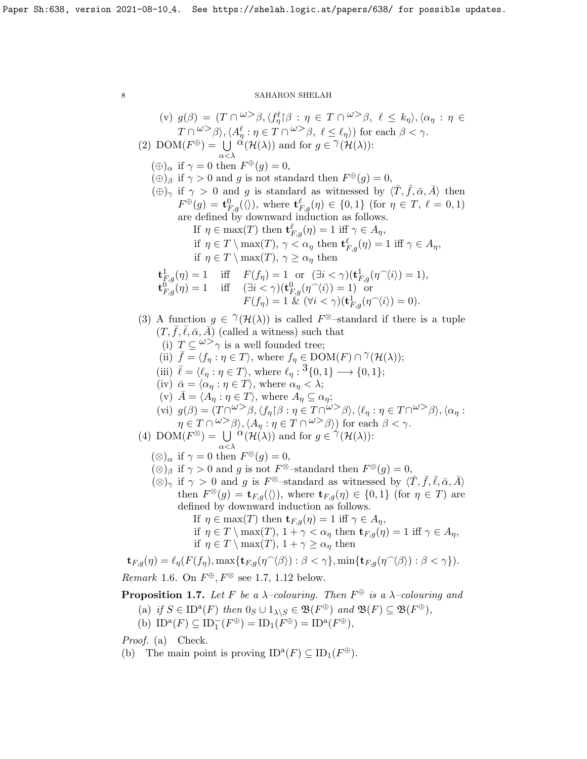(v) 
$$
g(\beta) = (T \cap \omega > \beta, \{f_{\beta}^{\ell} | \beta : \eta \in T \cap \omega > \beta, \ell \leq k_{\eta} \}, \langle \alpha_{\eta} : \eta \in T \cap \omega > \beta, \ell \leq \ell_{\eta} \})
$$
 for each  $\beta < \gamma$ .  
\n(2) DOM( $F^{\oplus}$ ) =  $\bigcup_{\alpha < \lambda} \alpha(\mathcal{H}(\lambda))$  and for  $g \in \gamma(\mathcal{H}(\lambda))$ :  
\n $(\oplus)_{\alpha}$  if  $\gamma = 0$  and  $F^{\oplus}(g) = 0$ ,  
\n $(\oplus)_{\beta}$  if  $\gamma > 0$  and  $g$  is standard then  $F^{\oplus}(g) = 0$ ,  
\n $(\oplus)_{\beta}$  if  $\gamma > 0$  and  $g$  is standard as witnessed by  $\langle \overline{T}, \overline{f}, \alpha, \overline{A} \rangle$  then  
\n $F^{\oplus}(g) = \mathbf{t}_{\text{Eq}}^D(\mathcal{H})$ , where  $\mathbf{t}_{\text{Eq}}^{\ell}(\eta) \in \{0,1\}$  (for  $\eta \in T, \ell = 0,1$ )  
\nare defined by downward induction as follows  
\nIf  $\eta \in \text{max}(T)$  then  $\mathbf{t}_{\text{Eq}}^{\ell}(\eta) = 1$  iff  $\gamma \in A_{\eta}$ ,  
\nif  $\eta \in T \setminus \max(T), \gamma \leq \alpha_{\eta}$  then  
\n $\mathbf{t}_{\text{Eq}}^{\ell}(\eta) = 1$  iff  $F(f_{\eta}) = 1$  or  $(\exists i < \gamma)(\mathbf{t}_{\text{Eq}}^{\ell}(\eta \cap \langle i)) = 1$ ),  
\n $\mathbf{t}_{\text{Eq}}^0(\eta) = 1$  iff  $F(f_{\eta}) = 1$  or  $(\exists i < \gamma)(\mathbf{t}_{\text{Eq}}^{\ell}(\eta \cap \langle i)) = 0$ ).  
\n(3) A function  $g \in \gamma(\mathcal{H}(\lambda))$  is called  $F^{\otimes}$ -standard if there is a tuple  
\n $(T, \over$ 

<span id="page-7-0"></span>**Proposition 1.7.** Let F be a  $\lambda$ -colouring. Then  $F^{\oplus}$  is a  $\lambda$ -colouring and

(a) if 
$$
S \in ID^a(F)
$$
 then  $0_S \cup 1_{\lambda \setminus S} \in \mathfrak{B}(F^{\oplus})$  and  $\mathfrak{B}(F) \subseteq \mathfrak{B}(F^{\oplus})$ ,

(b) 
$$
ID^a(F) \subseteq ID_1^-(F^{\oplus}) = ID_1(F^{\oplus}) = ID^a(F^{\oplus}),
$$

Proof. (a) Check.

(b) The main point is proving  $ID^a(F) \subseteq ID_1(F^{\oplus}).$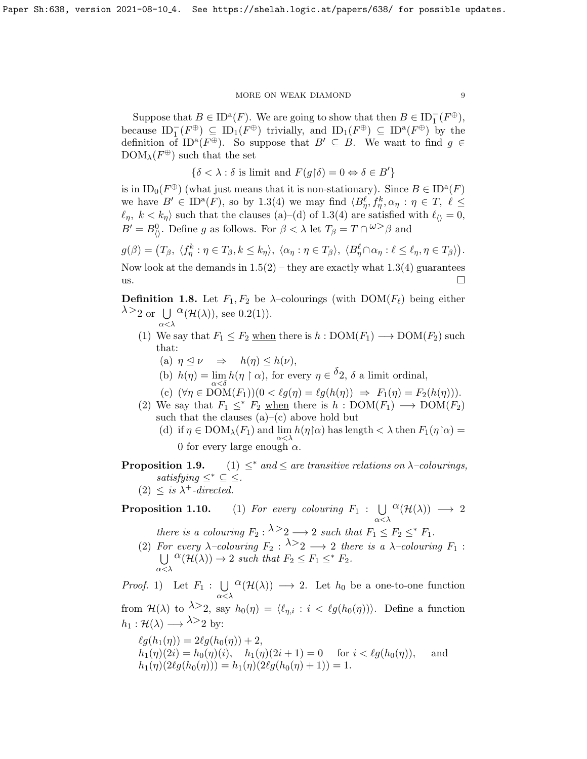#### $MORE$  ON WEAK DIAMOND  $\qquad \qquad 9$

Suppose that  $B \in ID^{\mathfrak{a}}(F)$ . We are going to show that then  $B \in ID^{-}_{1}(F^{\oplus})$ , because  $ID_1^-(F^{\oplus}) \subseteq ID_1(F^{\oplus})$  trivially, and  $ID_1(F^{\oplus}) \subseteq ID^a(F^{\oplus})$  by the definition of ID<sup>a</sup>( $F^{\oplus}$ ). So suppose that  $B' \subseteq B$ . We want to find  $g \in$  $DOM_{\lambda}(F^{\oplus})$  such that the set

 $\{\delta < \lambda : \delta \text{ is limit and } F(g \upharpoonright \delta) = 0 \Leftrightarrow \delta \in B'\}$ 

is in  $ID_0(F^{\oplus})$  (what just means that it is non-stationary). Since  $B \in ID^a(F)$ we have  $B' \in ID^a(F)$ , so by [1.3\(](#page-4-0)4) we may find  $\langle B^{\ell}_{\eta}, f^k_{\eta}, \alpha_{\eta} : \eta \in T, \ell \leq$  $\ell_\eta, \ k < k_\eta \rangle$  such that the clauses (a)–(d) of [1.3\(](#page-4-0)4) are satisfied with  $\ell_{\langle \rangle} = 0,$  $B' = B_{\langle\rangle}^0$ . Define g as follows. For  $\beta < \lambda$  let  $T_{\beta} = T \cap {}^{\omega} > \beta$  and

 $g(\beta) = (T_\beta, \langle f_\eta^k : \eta \in T_\beta, k \leq k_\eta \rangle, \ \langle \alpha_\eta : \eta \in T_\beta \rangle, \ \langle B_\eta^\ell \cap \alpha_\eta : \ell \leq \ell_\eta, \eta \in T_\beta \rangle).$ Now look at the demands in  $1.5(2)$  – they are exactly what  $1.3(4)$  guarantees  $\Box$ 

**Definition 1.8.** Let  $F_1, F_2$  be  $\lambda$ -colourings (with  $DOM(F_\ell)$  being either  $\lambda >_2$  or U  $^{\alpha}(\mathcal{H}(\lambda))$ , see [0.2\(](#page-0-1)1)).

- (1) We say that  $F_1 \leq F_2$  when there is  $h : DOM(F_1) \longrightarrow DOM(F_2)$  such that:
	- (a)  $\eta \trianglelefteq \nu \Rightarrow h(\eta) \trianglelefteq h(\nu),$
	- (b)  $h(\eta) = \lim_{\alpha < \delta} h(\eta \restriction \alpha)$ , for every  $\eta \in \delta_2$ ,  $\delta$  a limit ordinal,
	- (c)  $(\forall \eta \in \text{DOM}(F_1))(0 < \ell g(\eta) = \ell g(h(\eta)) \Rightarrow F_1(\eta) = F_2(h(\eta))).$

(2) We say that  $F_1 \leq^* F_2$  when there is  $h : DOM(F_1) \longrightarrow DOM(F_2)$ such that the clauses  $(a)$ – $(c)$  above hold but (d) if  $\eta \in \text{DOM}_{\lambda}(F_1)$  and  $\lim_{\alpha \leq \lambda} h(\eta \upharpoonright \alpha)$  has length  $\lt \lambda$  then  $F_1(\eta \upharpoonright \alpha) =$ 

0 for every large enough  $\alpha$ .

**Proposition 1.9.** (1)  $\leq^*$  and  $\leq$  are transitive relations on  $\lambda$ -colourings, satisfying  $\leq^* \subseteq \leq$ .

 $(2) \leq is \lambda^+ \text{-directed}.$ 

α<λ

## **Proposition 1.10.** (1) For every colouring  $F_1: \bigcup$ α<λ  $\alpha(\mathcal{H}(\lambda)) \longrightarrow 2$ there is a colouring  $F_2$ :  $\lambda > 2 \longrightarrow 2$  such that  $F_1 \leq F_2 \leq^* F_1$ .

(2) For every  $\lambda$ -colouring  $F_2: \lambda > 2 \longrightarrow 2$  there is a  $\lambda$ -colouring  $F_1$ :  $\bigcup \, \stackrel{\circ}{\alpha}(\mathcal{H}(\lambda)) \to 2$  such that  $F_2 \leq F_1 \leq^* F_2$ . α<λ

*Proof.* 1) Let  $F_1: \bigcup$ α<λ  ${}^{\textstyle\alpha}({\cal H}(\lambda))\longrightarrow 2$ . Let  $h_0$  be a one-to-one function from  $\mathcal{H}(\lambda)$  to  $\lambda > 2$ , say  $h_0(\eta) = \langle \ell_{\eta,i} : i < \ell g(h_0(\eta)) \rangle$ . Define a function  $h_1 : \mathcal{H}(\lambda) \longrightarrow \lambda >_2$  by:

$$
\ell g(h_1(\eta)) = 2\ell g(h_0(\eta)) + 2,
$$
  
\n
$$
h_1(\eta)(2i) = h_0(\eta)(i), \quad h_1(\eta)(2i+1) = 0 \quad \text{for } i < \ell g(h_0(\eta)), \quad \text{and}
$$
  
\n
$$
h_1(\eta)(2\ell g(h_0(\eta))) = h_1(\eta)(2\ell g(h_0(\eta) + 1)) = 1.
$$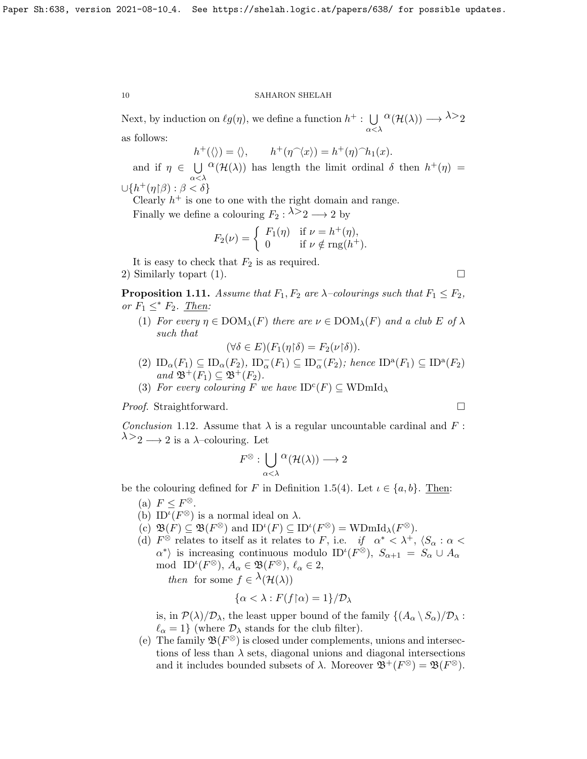Next, by induction on  $\ell g(\eta)$ , we define a function  $h^+$ :  $\bigcup$ α<λ  ${}^{\textstyle \alpha}({\mathcal H}(\lambda)) \longrightarrow{}^{\textstyle \lambda>}2$ 

as follows:

 $h^+(\langle\rangle) = \langle\rangle, \qquad h^+(\eta^{\frown}\langle x\rangle) = h^+(\eta)^{\frown}h_1(x).$ 

and if  $\eta \in \bigcup^{\Omega} (\mathcal{H}(\lambda))$  has length the limit ordinal  $\delta$  then  $h^+(\eta)$ α<λ  $\cup\{h^+(\eta|\beta):\beta<\delta\}$ 

Clearly  $h^+$  is one to one with the right domain and range. Finally we define a colouring  $F_2$ :  $\lambda > 2 \longrightarrow 2$  by

$$
F_2(\nu) = \begin{cases} F_1(\eta) & \text{if } \nu = h^+(\eta), \\ 0 & \text{if } \nu \notin \text{rng}(h^+). \end{cases}
$$

It is easy to check that  $F_2$  is as required.

2) Similarly topart (1).

<span id="page-9-1"></span>**Proposition 1.11.** Assume that  $F_1, F_2$  are  $\lambda$ -colourings such that  $F_1 \leq F_2$ , or  $F_1 \leq^* F_2$ . Then:

(1) For every  $\eta \in \text{DOM}_{\lambda}(F)$  there are  $\nu \in \text{DOM}_{\lambda}(F)$  and a club E of  $\lambda$ such that

 $(\forall \delta \in E)(F_1(\eta \upharpoonright \delta) = F_2(\nu \upharpoonright \delta)).$ 

- (2)  $ID_{\alpha}(F_1) \subseteq ID_{\alpha}(F_2)$ ,  $ID_{\alpha}^-(F_1) \subseteq ID_{\alpha}^-(F_2)$ ; hence  $ID^a(F_1) \subseteq ID^a(F_2)$ and  $\mathfrak{B}^+(F_1) \subseteq \mathfrak{B}^+(F_2)$ .
- (3) For every colouring F we have  $ID^c(F) \subseteq WDmId_\lambda$

*Proof.* Straightforward. □

<span id="page-9-0"></span>Conclusion 1.12. Assume that  $\lambda$  is a regular uncountable cardinal and F:  $\lambda >_2 \longrightarrow 2$  is a  $\lambda$ -colouring. Let

$$
F^\otimes: \bigcup_{\alpha<\lambda} {}^\alpha({\mathcal H}(\lambda))\longrightarrow 2
$$

be the colouring defined for F in Definition [1.5\(](#page-6-0)4). Let  $\iota \in \{a, b\}$ . Then:

- (a)  $F \leq F^{\otimes}$ .
- (b) ID<sup> $\iota$ </sup>( $F^{\otimes}$ ) is a normal ideal on  $\lambda$ .
- (c)  $\mathfrak{B}(F) \subseteq \mathfrak{B}(F^{\otimes})$  and  $ID^{\iota}(F) \subseteq ID^{\iota}(F^{\otimes}) = \text{WDmId}_{\lambda}(F^{\otimes}).$
- (d)  $F^{\otimes}$  relates to itself as it relates to F, i.e. if  $\alpha^* < \lambda^+$ ,  $\langle S_\alpha : \alpha <$  $\langle \alpha^* \rangle$  is increasing continuous modulo ID<sup>*i*</sup>( $F^{\otimes}$ ),  $S_{\alpha+1} = S_{\alpha} \cup A_{\alpha}$ mod ID<sup> $\iota$ </sup> $(F^{\otimes}), A_{\alpha} \in \mathfrak{B}(F^{\otimes}), \ell_{\alpha} \in 2,$

then for some  $f \in \lambda(\mathcal{H}(\lambda))$ 

$$
\{\alpha < \lambda : F(f \upharpoonright \alpha) = 1\} / \mathcal{D}_{\lambda}
$$

is, in  $\mathcal{P}(\lambda)/\mathcal{D}_{\lambda}$ , the least upper bound of the family  $\{(A_{\alpha} \setminus S_{\alpha})/\mathcal{D}_{\lambda}$ :  $\ell_{\alpha} = 1$ } (where  $\mathcal{D}_{\lambda}$  stands for the club filter).

(e) The family  $\mathfrak{B}(F^\otimes)$  is closed under complements, unions and intersections of less than  $\lambda$  sets, diagonal unions and diagonal intersections and it includes bounded subsets of  $\lambda$ . Moreover  $\mathfrak{B}^+(F^\otimes) = \mathfrak{B}(F^\otimes)$ .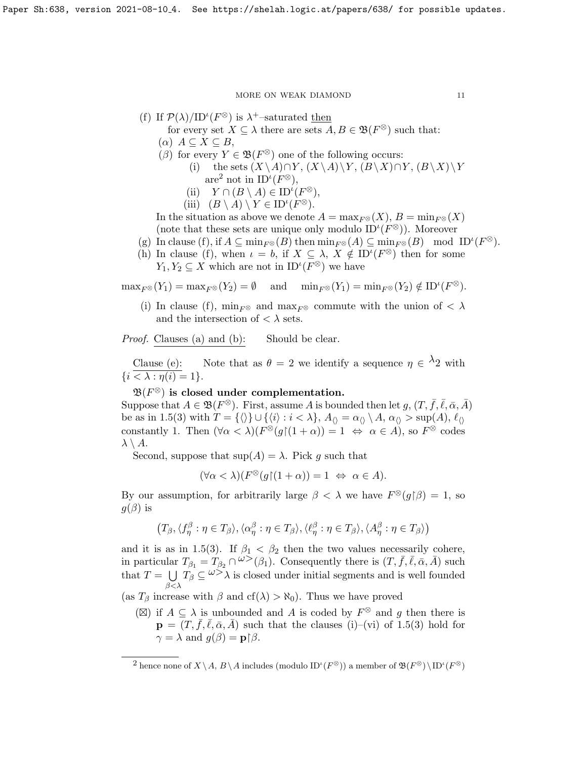(f) If 
$$
\mathcal{P}(\lambda)/ID^{\iota}(F^{\otimes})
$$
 is  $\lambda^{+}$ -saturated then

for every set  $X \subseteq \lambda$  there are sets  $A, B \in \mathfrak{B}(F^{\otimes})$  such that:

- $(\alpha)$   $A \subseteq X \subseteq B$ ,
- $(\beta)$  for every  $Y \in \mathfrak{B}(F^{\otimes})$  one of the following occurs:
	- (i) the sets  $(X \setminus A) \cap Y$ ,  $(X \setminus A) \setminus Y$ ,  $(B \setminus X) \cap Y$ ,  $(B \setminus X) \setminus Y$ are<sup>[2](#page-10-0)</sup> not in  $ID^{\iota}(F^{\otimes}),$ 
		- (ii)  $Y \cap (B \setminus A) \in ID^{\iota}(F^{\otimes}),$
	- (iii)  $(B \setminus A) \setminus Y \in ID^{\iota}(F^{\otimes}).$

In the situation as above we denote  $A = \max_{F \otimes}(X)$ ,  $B = \min_{F \otimes}(X)$ (note that these sets are unique only modulo  $ID^{\iota}(F^{\otimes})$ ). Moreover

- (g) In clause (f), if  $A \subseteq \min_{F^\otimes}(B)$  then  $\min_{F^\otimes}(A) \subseteq \min_{F^\otimes}(B)$  mod  $ID^{\iota}(F^\otimes)$ .
- (h) In clause (f), when  $\iota = b$ , if  $X \subseteq \lambda$ ,  $X \notin ID^{i}(F^{\otimes})$  then for some  $Y_1, Y_2 \subseteq X$  which are not in  $ID^{\iota}(F^{\otimes})$  we have

 $\max_{F^\otimes}(Y_1) = \max_{F^\otimes}(Y_2) = \emptyset$  and  $\min_{F^\otimes}(Y_1) = \min_{F^\otimes}(Y_2) \notin \mathrm{ID}^{\iota}(F^\otimes)$ .

(i) In clause (f),  $\min_{F^\otimes}$  and  $\max_{F^\otimes}$  commute with the union of  $\langle \lambda \rangle$ and the intersection of  $\langle \ \rangle$  sets.

Proof. Clauses (a) and (b): Should be clear.

Clause (e): Note that as  $\theta = 2$  we identify a sequence  $\eta \in \lambda_2$  with  $\{i < \lambda : \eta(i) = 1\}.$ 

 $\mathfrak{B}(F^{\otimes})$  is closed under complementation.

Suppose that  $A \in \mathfrak{B}(F^{\otimes})$ . First, assume A is bounded then let  $g, (T, \bar{f}, \bar{\ell}, \bar{\alpha}, \bar{A})$ be as in [1.5\(](#page-6-0)3) with  $T = {\langle} \langle \rangle$   $\cup$   $\{\langle i \rangle : i < \lambda\}, A_{\langle} = \alpha_{\langle} \setminus A, \alpha_{\langle} > \sup(A), \ell_{\langle} \rangle\}$ constantly 1. Then  $(\forall \alpha < \lambda)(F^{\otimes}(g)(1+\alpha)) = 1 \Leftrightarrow \alpha \in \Lambda)$ , so  $F^{\otimes}$  codes  $\lambda \setminus A$ .

Second, suppose that  $\sup(A) = \lambda$ . Pick g such that

$$
(\forall \alpha < \lambda)(F^{\otimes}(g)(1+\alpha)) = 1 \iff \alpha \in A).
$$

By our assumption, for arbitrarily large  $\beta < \lambda$  we have  $F^{\otimes}(g|\beta) = 1$ , so  $g(\beta)$  is

$$
(T_{\beta}, \langle f_{\eta}^{\beta} : \eta \in T_{\beta} \rangle, \langle \alpha_{\eta}^{\beta} : \eta \in T_{\beta} \rangle, \langle \ell_{\eta}^{\beta} : \eta \in T_{\beta} \rangle, \langle A_{\eta}^{\beta} : \eta \in T_{\beta} \rangle)
$$

and it is as in [1.5\(](#page-6-0)3). If  $\beta_1 < \beta_2$  then the two values necessarily cohere, in particular  $T_{\beta_1} = T_{\beta_2} \cap \omega^{\geq}(\beta_1)$ . Consequently there is  $(T, \bar{f}, \bar{\ell}, \bar{\alpha}, \bar{A})$  such that  $T = \bigcup_{\alpha} T_{\beta} \subseteq \omega > \lambda$  is closed under initial segments and is well founded  $β<\lambda$ 

(as  $T_\beta$  increase with  $\beta$  and cf( $\lambda$ ) >  $\aleph_0$ ). Thus we have proved

(⊠) if  $A \subseteq \lambda$  is unbounded and A is coded by  $F^{\otimes}$  and g then there is  $\mathbf{p} = (T, \bar{f}, \bar{\ell}, \bar{\alpha}, \bar{A})$  such that the clauses (i)–(vi) of [1.5\(](#page-6-0)3) hold for  $\gamma = \lambda$  and  $q(\beta) = \mathbf{p} \upharpoonright \beta$ .

<span id="page-10-0"></span><sup>&</sup>lt;sup>2</sup> hence none of  $X \setminus A$ ,  $B \setminus A$  includes (modulo  $ID^{\iota}(F^{\otimes})$ ) a member of  $\mathfrak{B}(F^{\otimes}) \setminus ID^{\iota}(F^{\otimes})$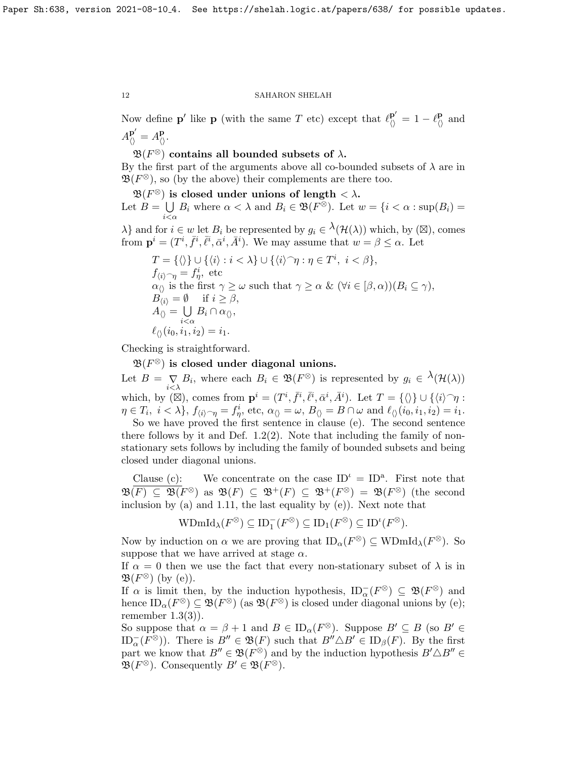Now define **p**' like **p** (with the same T etc) except that  $\ell_{\lozenge}^{\mathbf{p}'} = 1 - \ell_{\lozenge}^{\mathbf{p}}$  and  $A_{\langle\rangle}^{\mathbf{p}'} = A_{\langle\rangle}^{\mathbf{p}}.$ 

 $\mathfrak{B}(F^{\otimes})$  contains all bounded subsets of  $\lambda$ . By the first part of the arguments above all co-bounded subsets of  $\lambda$  are in  $\mathfrak{B}(F^{\otimes})$ , so (by the above) their complements are there too.

 $\mathfrak{B}(F^{\otimes})$  is closed under unions of length  $< \lambda$ . Let  $B = \bigcup B_i$  where  $\alpha < \lambda$  and  $B_i \in \mathfrak{B}(F^{\otimes})$ . Let  $w = \{i < \alpha : \sup(B_i) = \emptyset\}$  $i<\alpha$ 

 $\lambda$ } and for  $i \in w$  let  $B_i$  be represented by  $g_i \in \lambda(\mathcal{H}(\lambda))$  which, by  $(\boxtimes)$ , comes from  $\mathbf{p}^i = (T^i, \bar{f}^i, \bar{\ell}^i, \bar{\alpha}^i, \bar{A}^i)$ . We may assume that  $w = \beta \leq \alpha$ . Let

$$
T = \{\langle\rangle\} \cup \{\langle i\rangle : i < \lambda\} \cup \{\langle i\rangle^\frown \eta : \eta \in T^i, \ i < \beta\},
$$
\n
$$
f_{\langle i\rangle^\frown \eta} = f_\eta^i, \text{ etc}
$$
\n
$$
\alpha_{\langle\rangle} \text{ is the first } \gamma \ge \omega \text{ such that } \gamma \ge \alpha \& (\forall i \in [\beta, \alpha)) (B_i \subseteq \gamma),
$$
\n
$$
B_{\langle i\rangle} = \emptyset \quad \text{if } i \ge \beta,
$$
\n
$$
A_{\langle\rangle} = \bigcup_{\substack{i < \alpha \\ i < \alpha}} B_i \cap \alpha_{\langle\rangle},
$$
\n
$$
\ell_{\langle\rangle}(i_0, i_1, i_2) = i_1.
$$

Checking is straightforward.

 $\mathfrak{B}(F^\otimes)$  is closed under diagonal unions.

Let  $B = \bigvee_{i < \lambda} B_i$ , where each  $B_i \in \mathfrak{B}(F^{\otimes})$  is represented by  $g_i \in {}^{\lambda}(\mathcal{H}(\lambda))$ which, by  $(\boxtimes)$ , comes from  $\mathbf{p}^i = (T^i, \bar{f}^i, \bar{\ell}^i, \bar{\alpha}^i, \bar{A}^i)$ . Let  $T = {\langle} \langle \rangle$   $\cup$   ${\langle} \langle i \rangle \gamma$ :  $\eta \in T_i$ ,  $i < \lambda\},\ f_{\langle i \rangle \supset \eta} = f_{\eta}^i$ , etc,  $\alpha_{\langle \rangle} = \omega,\ B_{\langle \rangle} = B \cap \omega$  and  $\ell_{\langle \rangle}(i_0, i_1, i_2) = i_1$ .

So we have proved the first sentence in clause (e). The second sentence there follows by it and Def.  $1.2(2)$ . Note that including the family of nonstationary sets follows by including the family of bounded subsets and being closed under diagonal unions.

Clause (c): We concentrate on the case  $ID^{\iota} = ID^{a}$ . First note that  $\mathfrak{B}(F) \subseteq \mathfrak{B}(F^{\otimes})$  as  $\mathfrak{B}(F) \subseteq \mathfrak{B}^+(F) \subseteq \mathfrak{B}^+(F^{\otimes}) = \mathfrak{B}(F^{\otimes})$  (the second inclusion by (a) and [1.11,](#page-9-1) the last equality by (e)). Next note that

$$
\text{WDmId}_{\lambda}(F^{\otimes}) \subseteq \text{ID}_1^-(F^{\otimes}) \subseteq \text{ID}_1(F^{\otimes}) \subseteq \text{ID}^{\iota}(F^{\otimes}).
$$

Now by induction on  $\alpha$  we are proving that  $ID_{\alpha}(F^{\otimes}) \subseteq \text{WDmId}_{\lambda}(F^{\otimes})$ . So suppose that we have arrived at stage  $\alpha$ .

If  $\alpha = 0$  then we use the fact that every non-stationary subset of  $\lambda$  is in  $\mathfrak{B}(F^{\otimes})$  (by (e)).

If  $\alpha$  is limit then, by the induction hypothesis,  $ID_{\alpha}^{-}(F^{\otimes}) \subseteq \mathfrak{B}(F^{\otimes})$  and hence  $ID_{\alpha}(F^{\otimes}) \subseteq \mathfrak{B}(F^{\otimes})$  (as  $\mathfrak{B}(F^{\otimes})$  is closed under diagonal unions by (e); remember  $1.3(3)$ ).

So suppose that  $\alpha = \beta + 1$  and  $B \in ID_{\alpha}(F^{\otimes})$ . Suppose  $B' \subseteq B$  (so  $B' \in$  $ID_{\alpha}^{-}(F^{\otimes})$ . There is  $B'' \in \mathfrak{B}(F)$  such that  $B'' \triangle B' \in ID_{\beta}(F)$ . By the first part we know that  $B'' \in \mathfrak{B}(F^{\otimes})$  and by the induction hypothesis  $B' \triangle B'' \in$  $\mathfrak{B}(F^{\otimes})$ . Consequently  $B' \in \mathfrak{B}(F^{\otimes})$ .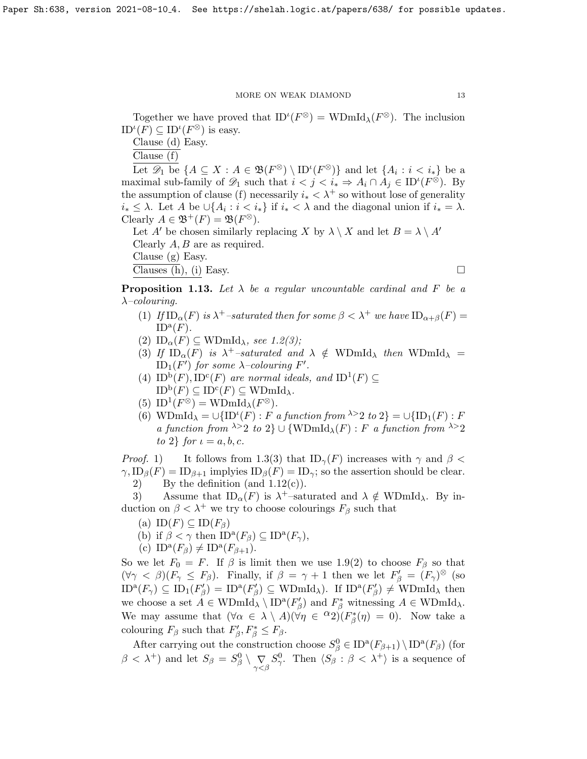Together we have proved that  $ID^{\iota}(F^{\otimes}) = WDmId_{\lambda}(F^{\otimes})$ . The inclusion  $ID<sup>\iota</sup>(F) \subseteq ID<sup>\iota</sup>(F<sup>\otimes</sup>)$  is easy.

Clause (d) Easy.

Clause (f)

Let  $\mathscr{D}_1$  be  $\{A \subseteq X : A \in \mathfrak{B}(F^{\otimes}) \setminus ID^{\iota}(F^{\otimes})\}$  and let  $\{A_i : i < i_*\}$  be a maximal sub-family of  $\mathscr{D}_1$  such that  $i < j < i_* \Rightarrow A_i \cap A_j \in ID^{\iota}(F^{\otimes})$ . By the assumption of clause (f) necessarily  $i_* < \lambda^+$  so without lose of generality  $i_* \leq \lambda$ . Let A be  $\cup \{A_i : i < i_*\}$  if  $i_* < \lambda$  and the diagonal union if  $i_* = \lambda$ . Clearly  $A \in \mathfrak{B}^+(F) = \mathfrak{B}(F^{\otimes}).$ 

Let A' be chosen similarly replacing X by  $\lambda \setminus X$  and let  $B = \lambda \setminus A'$ Clearly  $A, B$  are as required. Clause (g) Easy.

Clauses (h), (i) Easy.  $\Box$ 

**Proposition 1.13.** Let  $\lambda$  be a regular uncountable cardinal and F be a  $\lambda$ –colouring.

- (1) If  $ID_{\alpha}(F)$  is  $\lambda^+$ -saturated then for some  $\beta < \lambda^+$  we have  $ID_{\alpha+\beta}(F) =$  $ID^{\mathbf{a}}(F)$ .
- (2)  $ID_{\alpha}(F) \subseteq \text{WDmId}_{\lambda}$ , see [1.2\(](#page-3-0)3);
- (3) If  $ID_{\alpha}(F)$  is  $\lambda^{+}$ -saturated and  $\lambda \notin WDmId_{\lambda}$  then  $WDmId_{\lambda}$  =  $\mathrm{ID}_1(F')$  for some  $\lambda$ -colouring F'.
- (4)  $ID^b(F)$ ,  $ID^c(F)$  are normal ideals, and  $ID^1(F) \subseteq$  $\mathrm{ID}^{\mathrm{b}}(F) \subseteq \mathrm{ID}^{\mathrm{c}}(F) \subseteq \mathrm{WDmId}_{\lambda}.$
- (5)  $ID^1(F^{\otimes}) = \text{WDmId}_{\lambda}(F^{\otimes}).$
- (6) WDmId<sub> $\lambda$ </sub> =  $\cup$ {ID<sup>*i*</sup>(*F*) : *F* a function from <sup> $\lambda$ </sup> > 2 to 2} =  $\cup$ {ID<sub>1</sub>(*F*) : *F* a function from  $\lambda > 2$  to  $2$   $\cup$  {WDmId<sub> $\lambda$ </sub>(F) : F a function from  $\lambda > 2$ to 2} for  $\iota = a, b, c$ .

*Proof.* 1) It follows from [1.3\(](#page-4-0)3) that  $ID_{\gamma}(F)$  increases with  $\gamma$  and  $\beta$  <  $\gamma$ ,  $ID_\beta(F) = ID_{\beta+1}$  implyies  $ID_\beta(F) = ID_\gamma$ ; so the assertion should be clear. 2) By the definition (and  $1.12(c)$ ).

3) Assume that  $ID_{\alpha}(F)$  is  $\lambda^{+}$ -saturated and  $\lambda \notin \text{WDmId}_{\lambda}$ . By induction on  $\beta < \lambda^+$  we try to choose colourings  $F_\beta$  such that

- (a)  $ID(F) \subseteq ID(F_\beta)$
- (b) if  $\beta < \gamma$  then  $ID^{\mathbf{a}}(F_{\beta}) \subseteq ID^{\mathbf{a}}(F_{\gamma}),$
- (c)  $ID^{\mathbf{a}}(F_{\beta}) \neq ID^{\mathbf{a}}(F_{\beta+1}).$

So we let  $F_0 = F$ . If  $\beta$  is limit then we use [1.9\(](#page-0-0)2) to choose  $F_\beta$  so that  $(\forall \gamma \leq \beta)(F_\gamma \leq F_\beta)$ . Finally, if  $\beta = \gamma + 1$  then we let  $F'_\beta = (F_\gamma)^\otimes$  (so  $ID^{a}(F_{\gamma}) \subseteq ID_{1}(F_{\beta}') = ID^{a}(F_{\beta}') \subseteq WDmId_{\lambda}$ . If  $ID^{a}(F_{\beta}') \neq WDmId_{\lambda}$  then we choose a set  $A \in \text{WDmId}_{\lambda} \setminus \text{ID}^{\text{a}}(F_{\beta}')$  and  $F_{\beta}^*$  witnessing  $A \in \text{WDmId}_{\lambda}$ . We may assume that  $(\forall \alpha \in \lambda \setminus A)(\forall \eta \in {}^{\alpha}2)(F_{\beta}^*(\eta) = 0)$ . Now take a colouring  $F_{\beta}$  such that  $F'_{\beta}, F^*_{\beta} \leq F_{\beta}$ .

After carrying out the construction choose  $S^0_\beta \in \text{ID}^{\text{a}}(F_{\beta+1}) \setminus \text{ID}^{\text{a}}(F_\beta)$  (for  $\beta < \lambda^+$ ) and let  $S_\beta = S_\beta^0 \setminus \bigvee_{\gamma < \beta} S_\gamma^0$ . Then  $\langle S_\beta : \beta < \lambda^+ \rangle$  is a sequence of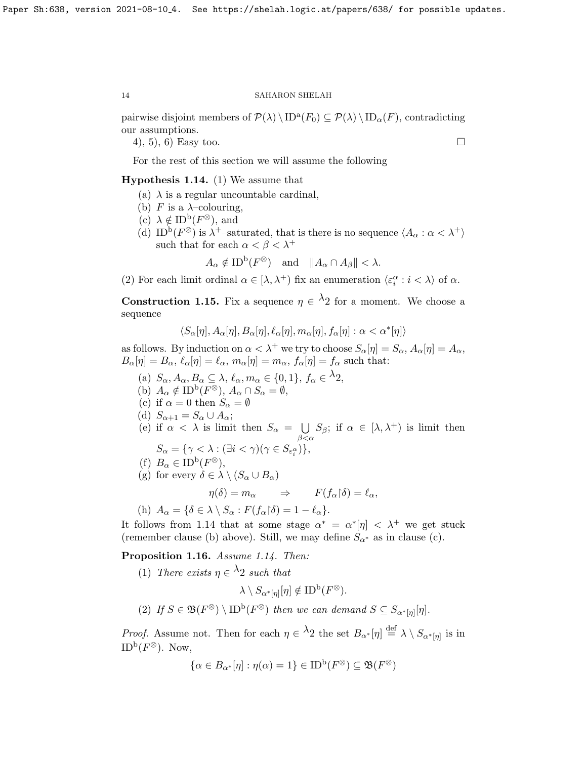pairwise disjoint members of  $\mathcal{P}(\lambda) \setminus \text{ID}^{\alpha}(F_0) \subseteq \mathcal{P}(\lambda) \setminus \text{ID}_{\alpha}(F)$ , contradicting our assumptions.

4), 5), 6) Easy too.

For the rest of this section we will assume the following

## <span id="page-13-0"></span>Hypothesis 1.14. (1) We assume that

- (a)  $\lambda$  is a regular uncountable cardinal,
- (b) F is a  $\lambda$ -colouring,
- (c)  $\lambda \notin \mathrm{ID}^{\mathrm{b}}(F^{\otimes}),$  and
- (d) ID<sup>b</sup>( $F^{\otimes}$ ) is  $\lambda^{+}$ -saturated, that is there is no sequence  $\langle A_{\alpha} : \alpha < \lambda^{+} \rangle$ such that for each  $\alpha < \beta < \lambda^+$

$$
A_{\alpha} \notin ID^{\mathbf{b}}(F^{\otimes})
$$
 and  $||A_{\alpha} \cap A_{\beta}|| < \lambda$ .

(2) For each limit ordinal  $\alpha \in [\lambda, \lambda^+)$  fix an enumeration  $\langle \varepsilon_i^{\alpha} : i < \lambda \rangle$  of  $\alpha$ .

<span id="page-13-1"></span>**Construction 1.15.** Fix a sequence  $\eta \in \Lambda_2$  for a moment. We choose a sequence

 $\langle S_\alpha[\eta], A_\alpha[\eta], B_\alpha[\eta], \ell_\alpha[\eta], m_\alpha[\eta], f_\alpha[\eta] : \alpha < \alpha^*[\eta] \rangle$ 

as follows. By induction on  $\alpha < \lambda^+$  we try to choose  $S_\alpha[\eta] = S_\alpha$ ,  $A_\alpha[\eta] = A_\alpha$ ,  $B_{\alpha}[\eta] = B_{\alpha}, \, \ell_{\alpha}[\eta] = \ell_{\alpha}, \, m_{\alpha}[\eta] = m_{\alpha}, \, f_{\alpha}[\eta] = f_{\alpha}$  such that:

- (a)  $S_{\alpha}, A_{\alpha}, B_{\alpha} \subseteq \lambda, \ell_{\alpha}, m_{\alpha} \in \{0, 1\}, f_{\alpha} \in {}^{\lambda}2,$
- (b)  $A_{\alpha} \notin ID^{\mathbf{b}}(F^{\otimes}), A_{\alpha} \cap S_{\alpha} = \emptyset,$
- (c) if  $\alpha = 0$  then  $S_{\alpha} = \emptyset$
- (d)  $S_{\alpha+1} = S_{\alpha} \cup A_{\alpha};$
- (e) if  $\alpha < \lambda$  is limit then  $S_{\alpha} = \bigcup$  $\beta<\alpha$  $S_{\beta}$ ; if  $\alpha \in [\lambda, \lambda^{+})$  is limit then

$$
S_{\alpha} = \{ \gamma < \lambda : (\exists i < \gamma)(\gamma \in S_{\varepsilon_i^{\alpha}}) \},
$$

(f) 
$$
B_{\alpha} \in ID^{b}(F^{\otimes}),
$$

(g) for every  $\delta \in \lambda \setminus (S_\alpha \cup B_\alpha)$ 

$$
\eta(\delta) = m_{\alpha} \qquad \Rightarrow \qquad F(f_{\alpha} \upharpoonright \delta) = \ell_{\alpha},
$$

(h) 
$$
A_{\alpha} = \{ \delta \in \lambda \setminus S_{\alpha} : F(f_{\alpha} \upharpoonright \delta) = 1 - \ell_{\alpha} \}.
$$

It follows from [1.14](#page-13-0) that at some stage  $\alpha^* = \alpha^* |\eta| < \lambda^+$  we get stuck (remember clause (b) above). Still, we may define  $S_{\alpha^*}$  as in clause (c).

<span id="page-13-2"></span>Proposition 1.16. Assume [1.14.](#page-13-0) Then:

(1) There exists  $\eta \in \lambda_2$  such that

$$
\lambda \setminus S_{\alpha^*[\eta]}[\eta] \notin \text{ID}^{\text{b}}(F^\otimes).
$$

(2) If  $S \in \mathfrak{B}(F^{\otimes}) \setminus \text{ID}^{\text{b}}(F^{\otimes})$  then we can demand  $S \subseteq S_{\alpha^*[\eta]}[\eta]$ .

*Proof.* Assume not. Then for each  $\eta \in \lambda_2$  the set  $B_{\alpha^*}[\eta] \stackrel{\text{def}}{=} \lambda \setminus S_{\alpha^*[\eta]}$  is in  $\mathrm{ID}^{\mathrm{b}}(F^{\otimes}).$  Now,

$$
\{\alpha \in B_{\alpha^*}[\eta] : \eta(\alpha) = 1\} \in \text{ID}^{\text{b}}(F^\otimes) \subseteq \mathfrak{B}(F^\otimes)
$$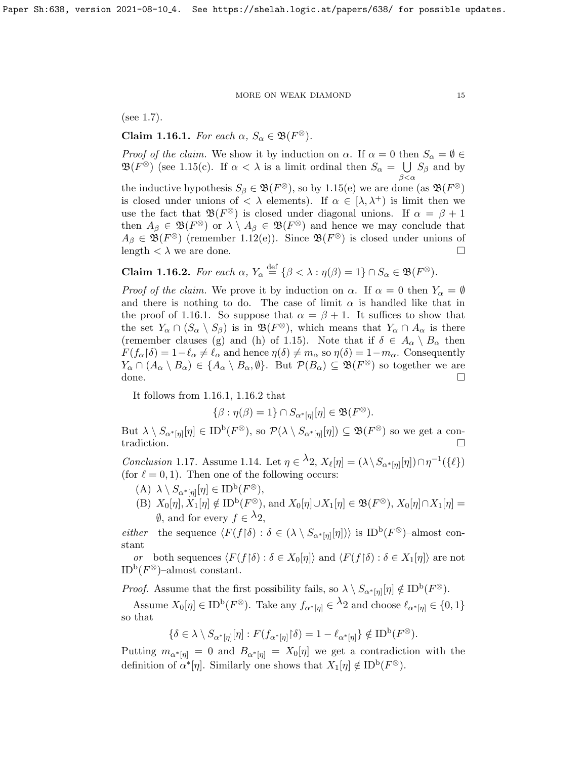(see [1.7\)](#page-7-0).

<span id="page-14-0"></span>Claim 1.16.1. For each  $\alpha$ ,  $S_{\alpha} \in \mathfrak{B}(F^{\otimes})$ .

*Proof of the claim.* We show it by induction on  $\alpha$ . If  $\alpha = 0$  then  $S_{\alpha} = \emptyset$  $\mathfrak{B}(F^{\otimes})$  (see [1.15\(](#page-13-1)c). If  $\alpha < \lambda$  is a limit ordinal then  $S_{\alpha} = \bigcup S_{\beta}$  and by  $\beta < \alpha$ the inductive hypothesis  $S_{\beta} \in \mathfrak{B}(F^{\otimes})$ , so by [1.15\(](#page-13-1)e) we are done (as  $\mathfrak{B}(F^{\otimes})$ is closed under unions of  $\langle \lambda \rangle$  elements). If  $\alpha \in [\lambda, \lambda^+]$  is limit then we use the fact that  $\mathfrak{B}(F^{\otimes})$  is closed under diagonal unions. If  $\alpha = \beta + 1$ then  $A_{\beta} \in \mathfrak{B}(F^{\otimes})$  or  $\lambda \setminus A_{\beta} \in \mathfrak{B}(F^{\otimes})$  and hence we may conclude that  $A_{\beta} \in \mathfrak{B}(F^{\otimes})$  (remember [1.12\(](#page-9-0)e)). Since  $\mathfrak{B}(F^{\otimes})$  is closed under unions of length  $\langle \lambda \rangle$  we are done.

<span id="page-14-1"></span>**Claim 1.16.2.** For each 
$$
\alpha
$$
,  $Y_{\alpha} \stackrel{\text{def}}{=} \{ \beta < \lambda : \eta(\beta) = 1 \} \cap S_{\alpha} \in \mathfrak{B}(F^{\otimes}).$ 

*Proof of the claim.* We prove it by induction on  $\alpha$ . If  $\alpha = 0$  then  $Y_{\alpha} = \emptyset$ and there is nothing to do. The case of limit  $\alpha$  is handled like that in the proof of [1.16.1.](#page-14-0) So suppose that  $\alpha = \beta + 1$ . It suffices to show that the set  $Y_\alpha \cap (S_\alpha \setminus S_\beta)$  is in  $\mathfrak{B}(F^\otimes)$ , which means that  $Y_\alpha \cap A_\alpha$  is there (remember clauses (g) and (h) of [1.15\)](#page-13-1). Note that if  $\delta \in A_{\alpha} \setminus B_{\alpha}$  then  $F(f_\alpha|\delta) = 1-\ell_\alpha \neq \ell_\alpha$  and hence  $\eta(\delta) \neq m_\alpha$  so  $\eta(\delta) = 1-m_\alpha$ . Consequently  $Y_{\alpha} \cap (A_{\alpha} \setminus B_{\alpha}) \in \{A_{\alpha} \setminus B_{\alpha}, \emptyset\}.$  But  $\mathcal{P}(B_{\alpha}) \subseteq \mathfrak{B}(F^{\otimes})$  so together we are done.

It follows from [1.16.1,](#page-14-0) [1.16.2](#page-14-1) that

$$
\{\beta : \eta(\beta) = 1\} \cap S_{\alpha^*[\eta]}[\eta] \in \mathfrak{B}(F^{\otimes}).
$$

But  $\lambda \setminus S_{\alpha^*[\eta]}[\eta] \in \mathrm{ID}^{\mathrm{b}}(F^\otimes)$ , so  $\mathcal{P}(\lambda \setminus S_{\alpha^*[\eta]}[\eta]) \subseteq \mathfrak{B}(F^\otimes)$  so we get a contradiction.

<span id="page-14-2"></span>Conclusion 1.17. Assume [1.14.](#page-13-0) Let  $\eta \in \lambda_2$ ,  $X_{\ell}[\eta] = (\lambda \setminus S_{\alpha^*[\eta]}[\eta]) \cap \eta^{-1}(\{\ell\})$ (for  $\ell = 0, 1$ ). Then one of the following occurs:

- (A)  $\lambda \setminus S_{\alpha^*[\eta]}[\eta] \in \text{ID}^{\text{b}}(F^\otimes),$
- (B)  $X_0[\eta], X_1[\eta] \notin \mathrm{ID}^{\mathrm{b}}(F^\otimes)$ , and  $X_0[\eta] \cup X_1[\eta] \in \mathfrak{B}(F^\otimes), X_0[\eta] \cap X_1[\eta] =$  $\emptyset$ , and for every  $f \in \lambda_2$ ,

*either* the sequence  $\langle F(f \mid \delta) : \delta \in (\lambda \setminus S_{\alpha^*[\eta]}[\eta]) \rangle$  is ID<sup>b</sup>( $F^{\otimes}$ )-almost constant

or both sequences  $\langle F(f \mid \delta) : \delta \in X_0[\eta] \rangle$  and  $\langle F(f \mid \delta) : \delta \in X_1[\eta] \rangle$  are not  $\mathrm{ID}^{\mathrm{b}}(F^\otimes)$ -almost constant.

*Proof.* Assume that the first possibility fails, so  $\lambda \setminus S_{\alpha^*[\eta]}[\eta] \notin \text{ID}^{\text{b}}(F^{\otimes}).$ 

Assume  $X_0[\eta] \in \text{ID}^{\text{b}}(F^\otimes)$ . Take any  $f_{\alpha^*[\eta]} \in \lambda_2$  and choose  $\ell_{\alpha^*[\eta]} \in \{0,1\}$ so that

$$
\{\delta \in \lambda \setminus S_{\alpha^*[\eta]}[\eta] : F(f_{\alpha^*[\eta]} \upharpoonright \delta) = 1 - \ell_{\alpha^*[\eta]} \} \notin \text{ID}^{\text{b}}(F^{\otimes}).
$$

Putting  $m_{\alpha^*[\eta]} = 0$  and  $B_{\alpha^*[\eta]} = X_0[\eta]$  we get a contradiction with the definition of  $\alpha^*[\eta]$ . Similarly one shows that  $X_1[\eta] \notin \text{ID}^{\text{b}}(F^{\otimes})$ .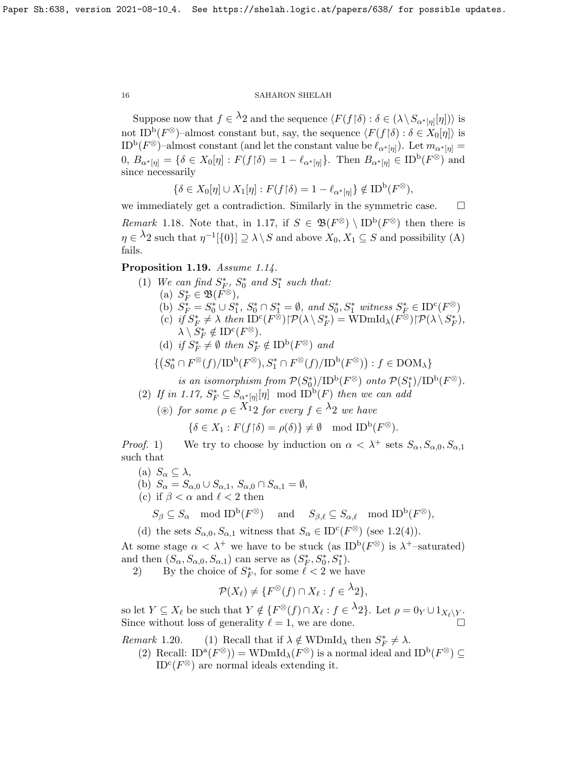Suppose now that  $f \in \Lambda_2$  and the sequence  $\langle F(f \upharpoonright \delta) : \delta \in (\lambda \setminus S_{\alpha^*[\eta]}[\eta]) \rangle$  is not ID<sup>b</sup>( $F^{\otimes}$ )–almost constant but, say, the sequence  $\langle F(f \, | \, \delta) : \delta \in X_0[\eta] \rangle$  is  $\text{ID}^{\text{b}}(F^{\otimes})$ -almost constant (and let the constant value be  $\ell_{\alpha^*[\eta]}$ ). Let  $m_{\alpha^*[\eta]} =$  $[0, B_{\alpha^*[\eta]}] = \{ \delta \in X_0[\eta] : F(f \restriction \delta) = 1 - \ell_{\alpha^*[\eta]} \}.$  Then  $B_{\alpha^*[\eta]} \in \text{ID}^{\text{b}}(F^\otimes)$  and since necessarily

$$
\{\delta \in X_0[\eta] \cup X_1[\eta] : F(f{\restriction}\delta) = 1 - \ell_{\alpha^*[\eta]}\} \notin \mathcal{ID}^{\mathbf{b}}(F^\otimes),
$$

we immediately get a contradiction. Similarly in the symmetric case.  $\Box$ Remark 1.18. Note that, in [1.17,](#page-14-2) if  $S \in \mathfrak{B}(F^{\otimes}) \setminus \text{ID}^{\text{b}}(F^{\otimes})$  then there is  $\eta \in \Lambda_2$  such that  $\eta^{-1}[\{0\}] \supseteq \lambda \setminus S$  and above  $X_0, X_1 \subseteq S$  and possibility (A) fails.

## <span id="page-15-0"></span>Proposition 1.19. Assume [1.14.](#page-13-0)

(1) We can find  $S_F^*$ ,  $S_0^*$  and  $S_1^*$  such that: (a)  $S_F^* \in \mathfrak{B}(\overline{F}^{\otimes}),$ (b)  $S_F^* = S_0^* \cup S_1^*, S_0^* \cap S_1^* = \emptyset$ , and  $S_0^*, S_1^*$  witness  $S_F^* \in ID^c(F^\otimes)$ (c) if  $S_F^* \neq \lambda$  then  $\text{ID}^c(F^{\otimes})\upharpoonright \mathcal{P}(\lambda \setminus S_F^*) = \text{WDmId}_{\lambda}(F^{\otimes})\upharpoonright \mathcal{P}(\lambda \setminus S_F^*),$  $\lambda \setminus S_F^* \notin {\rm ID}^{\rm c}(F^\otimes).$ (d) if  $S_F^* \neq \emptyset$  then  $S_F^* \notin \mathrm{ID}^{\mathrm{b}}(F^\otimes)$  and  $\{\left( S_0^* \cap F^\otimes(f) / {\rm ID}^{\rm b}(F^\otimes), S_1^* \cap F^\otimes(f) / {\rm ID}^{\rm b}(F^\otimes) \right): f \in {\rm DOM}_\lambda \}$ is an isomorphism from  $\mathcal{P}(S_0^*)/ID^b(F^\otimes)$  onto  $\mathcal{P}(S_1^*)/ID^b(F^\otimes)$ . (2) If in [1.17,](#page-14-2)  $S_F^* \subseteq S_{\alpha^*[\eta]}[\eta] \mod \text{ID}^{\text{b}}(F)$  then we can add ( $\circledast$ ) for some  $\rho \in X_12$  for every  $f \in \lambda_2$  we have

$$
\{\delta \in X_1 : F(f \restriction \delta) = \rho(\delta)\} \neq \emptyset \mod \text{ID}^{\text{b}}(F^{\otimes}).
$$

*Proof.* 1) We try to choose by induction on  $\alpha < \lambda^+$  sets  $S_\alpha, S_{\alpha,0}, S_{\alpha,1}$ such that

(a)  $S_{\alpha} \subseteq \lambda$ , (b)  $S_{\alpha} = S_{\alpha,0} \cup S_{\alpha,1}, S_{\alpha,0} \cap S_{\alpha,1} = \emptyset,$ (c) if  $\beta < \alpha$  and  $\ell < 2$  then  $S_{\beta} \subseteq S_{\alpha} \mod \text{ID}^{\text{b}}(F^{\otimes}) \text{ and } S_{\beta,\ell} \subseteq S_{\alpha,\ell} \mod \text{ID}^{\text{b}}(F^{\otimes}),$ 

(d) the sets  $S_{\alpha,0}, S_{\alpha,1}$  witness that  $S_{\alpha} \in ID^c(F^{\otimes})$  (see [1.2\(](#page-3-0)4)).

At some stage  $\alpha < \lambda^+$  we have to be stuck (as ID<sup>b</sup>( $F^{\otimes}$ ) is  $\lambda^+$ -saturated) and then  $(S_{\alpha}, S_{\alpha,0}, S_{\alpha,1})$  can serve as  $(S_{F}^{*}, S_{0}^{*}, S_{1}^{*}).$ 

2) By the choice of  $S_F^*$ , for some  $\ell < 2$  we have

$$
\mathcal{P}(X_{\ell}) \neq \{F^{\otimes}(f) \cap X_{\ell} : f \in {}^{\lambda}2\},\
$$

so let  $Y \subseteq X_\ell$  be such that  $Y \notin \{F^\otimes(f) \cap X_\ell : f \in {}^{\lambda}2\}$ . Let  $\rho = 0_Y \cup 1_{X_\ell \setminus Y}$ . Since without loss of generality  $\ell = 1$ , we are done.

Remark 1.20. (1) Recall that if  $\lambda \notin \text{WDmId}_{\lambda}$  then  $S_F^* \neq \lambda$ .

(2) Recall:  $ID^a(F^{\otimes})$  = WDmId<sub> $\lambda$ </sub> $(F^{\otimes})$  is a normal ideal and  $ID^b(F^{\otimes}) \subseteq$  $\text{ID}^{\text{c}}(F^{\otimes})$  are normal ideals extending it.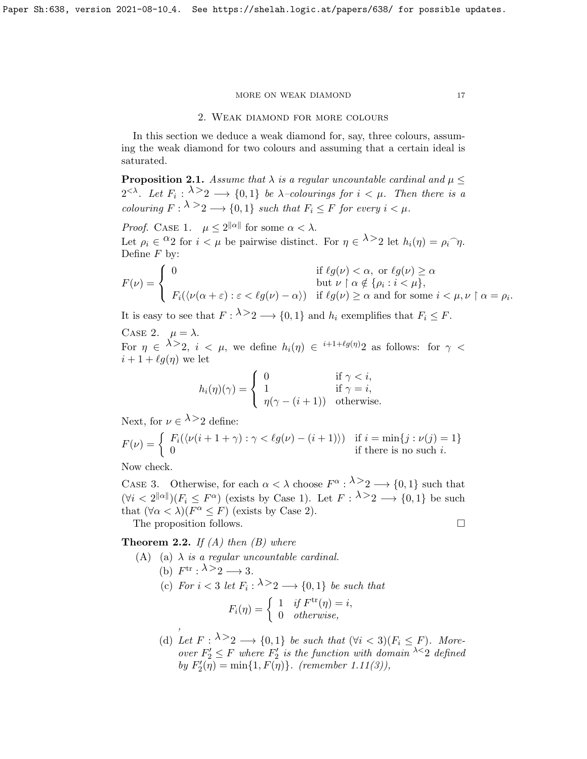## 2. Weak diamond for more colours

In this section we deduce a weak diamond for, say, three colours, assuming the weak diamond for two colours and assuming that a certain ideal is saturated.

**Proposition 2.1.** Assume that  $\lambda$  is a regular uncountable cardinal and  $\mu \leq$  $2^{<\lambda}$ . Let  $F_i: \lambda >_2 \longrightarrow \{0,1\}$  be  $\lambda$ -colourings for  $i < \mu$ . Then there is a colouring  $F: \lambda \geq 2 \longrightarrow \{0,1\}$  such that  $F_i \leq F$  for every  $i < \mu$ .

*Proof.* CASE 1.  $\mu \leq 2^{\|\alpha\|}$  for some  $\alpha < \lambda$ . Let  $\rho_i \in {}^{\Omega}2$  for  $i < \mu$  be pairwise distinct. For  $\eta \in \lambda > 2$  let  $h_i(\eta) = \rho_i \hat{\ } \eta$ . Define  $F$  by:

$$
F(\nu) = \begin{cases} 0 & \text{if } \ell g(\nu) < \alpha, \text{ or } \ell g(\nu) \ge \alpha \\ \text{but } \nu \upharpoonright \alpha \notin \{\rho_i : i < \mu\}, \\ F_i(\langle \nu(\alpha + \varepsilon) : \varepsilon < \ell g(\nu) - \alpha \rangle) & \text{if } \ell g(\nu) \ge \alpha \text{ and for some } i < \mu, \nu \upharpoonright \alpha = \rho_i. \end{cases}
$$

It is easy to see that  $F: \lambda \geq 2 \longrightarrow \{0,1\}$  and  $h_i$  exemplifies that  $F_i \leq F$ .

CASE 2.  $\mu = \lambda$ . For  $\eta \in \lambda > 2$ ,  $i \leq \mu$ , we define  $h_i(\eta) \in i+1+\ell g(\eta)2$  as follows: for  $\gamma$  <  $i + 1 + \ell q(\eta)$  we let

$$
h_i(\eta)(\gamma) = \begin{cases} 0 & \text{if } \gamma < i, \\ 1 & \text{if } \gamma = i, \\ \eta(\gamma - (i+1)) & \text{otherwise.} \end{cases}
$$

Next, for  $\nu \in \lambda > 2$  define:

$$
F(\nu) = \begin{cases} F_i(\langle \nu(i+1+\gamma) : \gamma < \ell g(\nu) - (i+1) \rangle) & \text{if } i = \min\{j : \nu(j) = 1\} \\ 0 & \text{if there is no such } i. \end{cases}
$$

Now check.

CASE 3. Otherwise, for each  $\alpha < \lambda$  choose  $F^{\alpha}$ :  $\lambda > 2 \longrightarrow \{0, 1\}$  such that  $(\forall i < 2^{\|\alpha\|})(F_i \leq F^{\alpha})$  (exists by Case 1). Let  $F: \lambda > 2 \longrightarrow \{0, 1\}$  be such that  $(\forall \alpha < \lambda)(F^{\alpha} \leq F)$  (exists by Case 2). The proposition follows.

**Theorem 2.2.** If  $(A)$  then  $(B)$  where

- (A) (a)  $\lambda$  is a regular uncountable cardinal. (b)  $F^{\text{tr}}: \lambda \geq 2 \longrightarrow 3$ . (c) For  $i < 3$  let  $F_i : \lambda > 2 \longrightarrow \{0,1\}$  be such that  $F_i(\eta) = \begin{cases} 1 & \text{if } F^{\text{tr}}(\eta) = i, \\ 0 & \text{otherwise.} \end{cases}$ 0 otherwise, ,
	- (d) Let  $F: \lambda > 2 \longrightarrow \{0, 1\}$  be such that  $(\forall i < 3)(F_i \leq F)$ . Moreover  $F_2' \leq F$  where  $F_2'$  is the function with domain  $\lambda \leq 2$  defined by  $F_2'(\eta) = \min\{1, F(\eta)\}\$ . (remember [1.11\(](#page-9-1)3)),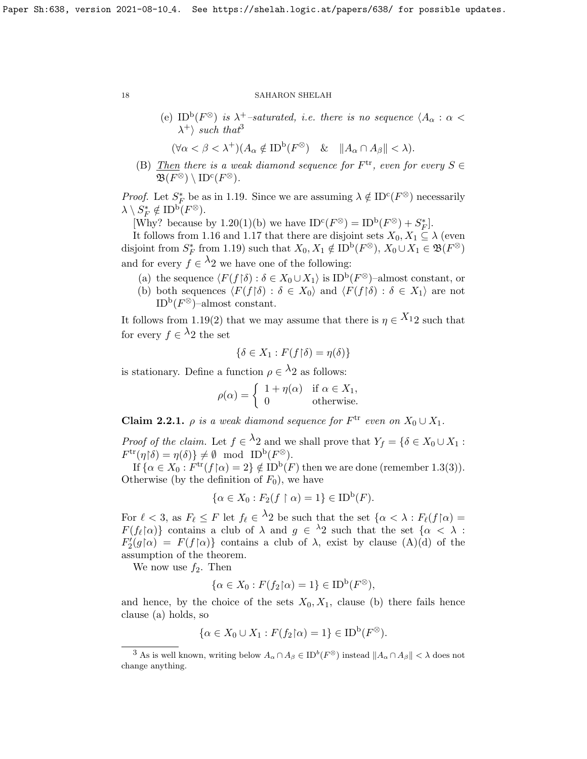(e) ID<sup>b</sup>( $F^{\otimes}$ ) is  $\lambda^{+}$ -saturated, i.e. there is no sequence  $\langle A_{\alpha} : \alpha \langle \rangle$  $\lambda^+$  such that<sup>[3](#page-17-0)</sup>

$$
(\forall \alpha < \beta < \lambda^+)(A_\alpha \notin \text{ID}^{\text{b}}(F^\otimes) \quad \& \quad \|A_\alpha \cap A_\beta\| < \lambda).
$$

(B) Then there is a weak diamond sequence for  $F^{\text{tr}}$ , even for every  $S \in$  $\mathfrak{B}(F^\otimes) \setminus \mathrm{ID}^{\mathrm{c}}(F^\otimes).$ 

*Proof.* Let  $S_F^*$  be as in [1.19.](#page-15-0) Since we are assuming  $\lambda \notin \mathrm{ID}^c(F^\otimes)$  necessarily  $\lambda \setminus S_F^* \notin {\rm ID}^{\rm b}(F^\otimes).$ 

[Why? because by [1.20\(](#page-0-0)1)(b) we have  $ID^c(F^{\otimes}) = ID^b(F^{\otimes}) + S_F^*$ ].

It follows from [1.16](#page-13-2) and [1.17](#page-14-2) that there are disjoint sets  $X_0, X_1 \subseteq \lambda$  (even disjoint from  $S_F^*$  from [1.19\)](#page-15-0) such that  $X_0, X_1 \notin \text{ID}^{\text{b}}(F^\otimes), X_0 \cup X_1 \in \mathfrak{B}(F^\otimes)$ and for every  $f \in \lambda_2$  we have one of the following:

- (a) the sequence  $\langle F(f | \delta) : \delta \in X_0 \cup X_1 \rangle$  is ID<sup>b</sup> $(F^{\otimes})$ -almost constant, or
- (b) both sequences  $\langle F(f \mid \delta) : \delta \in X_0 \rangle$  and  $\langle F(f \mid \delta) : \delta \in X_1 \rangle$  are not  $\mathrm{ID}^{\mathrm{b}}(F^\otimes)$ -almost constant.

It follows from [1.19\(](#page-15-0)2) that we may assume that there is  $\eta \in X_{12}$  such that for every  $f \in \lambda_2$  the set

$$
\{\delta \in X_1 : F(f \restriction \delta) = \eta(\delta)\}
$$

is stationary. Define a function  $\rho \in {}^{\lambda}2$  as follows:

$$
\rho(\alpha) = \begin{cases} 1 + \eta(\alpha) & \text{if } \alpha \in X_1, \\ 0 & \text{otherwise.} \end{cases}
$$

**Claim 2.2.1.**  $\rho$  is a weak diamond sequence for  $F^{\text{tr}}$  even on  $X_0 \cup X_1$ .

*Proof of the claim.* Let  $f \in \Lambda_2$  and we shall prove that  $Y_f = \{ \delta \in X_0 \cup X_1 :$  $F^{\text{tr}}(\eta | \delta) = \eta(\delta) \} \neq \emptyset \text{ mod } \text{ID}^{\text{b}}(F^{\otimes}).$ 

If  $\{\alpha \in X_0 : F^{\text{tr}}(f \mid \alpha) = 2\} \notin \text{ID}^{\text{b}}(F)$  then we are done (remember [1.3\(](#page-4-0)3)). Otherwise (by the definition of  $F_0$ ), we have

$$
\{\alpha \in X_0 : F_2(f \restriction \alpha) = 1\} \in \text{ID}^{\text{b}}(F).
$$

For  $\ell < 3$ , as  $F_{\ell} \leq F$  let  $f_{\ell} \in \Lambda_2$  be such that the set  $\{\alpha < \lambda : F_{\ell}(f \cap \alpha) =$  $F(f_{\ell} \mid \alpha)$  contains a club of  $\lambda$  and  $g \in {}^{\lambda}2$  such that the set  $\{\alpha < \lambda :$  $F_2'(g \upharpoonright \alpha) = F(f \upharpoonright \alpha)$  contains a club of  $\lambda$ , exist by clause  $(A)(d)$  of the assumption of the theorem.

We now use  $f_2$ . Then

$$
\{\alpha \in X_0 : F(f_2 \upharpoonright \alpha) = 1\} \in \text{ID}^{\text{b}}(F^\otimes),
$$

and hence, by the choice of the sets  $X_0, X_1$ , clause (b) there fails hence clause (a) holds, so

$$
\{\alpha \in X_0 \cup X_1 : F(f_2 \upharpoonright \alpha) = 1\} \in \text{ID}^{\text{b}}(F^{\otimes}).
$$

<span id="page-17-0"></span><sup>&</sup>lt;sup>3</sup> As is well known, writing below  $A_{\alpha} \cap A_{\beta} \in \mathrm{ID}^b(F^{\otimes})$  instead  $||A_{\alpha} \cap A_{\beta}|| < \lambda$  does not change anything.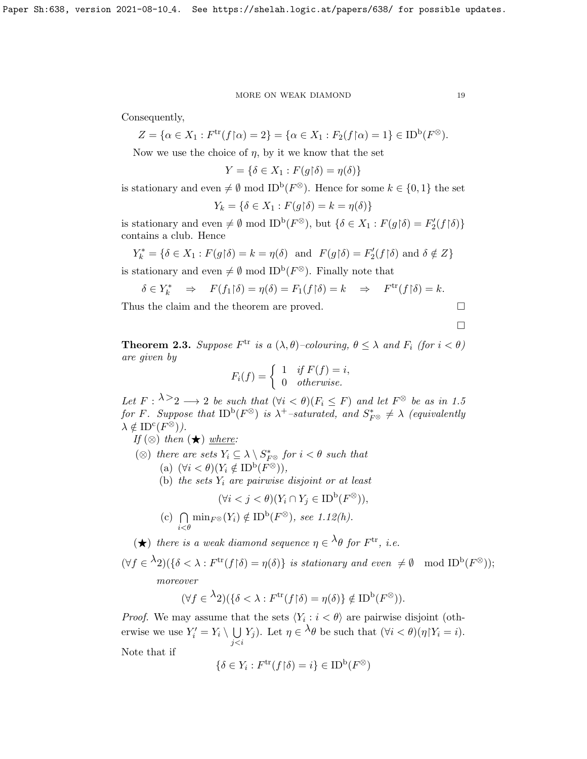Consequently,

$$
Z = \{ \alpha \in X_1 : F^{\text{tr}}(f \upharpoonright \alpha) = 2 \} = \{ \alpha \in X_1 : F_2(f \upharpoonright \alpha) = 1 \} \in ID^{\text{b}}(F^{\otimes}).
$$

Now we use the choice of  $\eta$ , by it we know that the set

$$
Y = \{ \delta \in X_1 : F(g \upharpoonright \delta) = \eta(\delta) \}
$$

is stationary and even  $\neq \emptyset$  mod ID<sup>b</sup>( $F^{\otimes}$ ). Hence for some  $k \in \{0,1\}$  the set

$$
Y_k = \{ \delta \in X_1 : F(g \upharpoonright \delta) = k = \eta(\delta) \}
$$

is stationary and even  $\neq \emptyset$  mod ID<sup>b</sup>( $F^{\otimes}$ ), but  $\{\delta \in X_1 : F(g \upharpoonright \delta) = F'_2(f \upharpoonright \delta)\}$ contains a club. Hence

$$
Y_k^* = \{ \delta \in X_1 : F(g \upharpoonright \delta) = k = \eta(\delta) \text{ and } F(g \upharpoonright \delta) = F_2'(f \upharpoonright \delta) \text{ and } \delta \notin Z \}
$$

is stationary and even  $\neq \emptyset$  mod ID<sup>b</sup>( $F^{\otimes}$ ). Finally note that

$$
\delta \in Y_k^* \quad \Rightarrow \quad F(f_1 \upharpoonright \delta) = \eta(\delta) = F_1(f \upharpoonright \delta) = k \quad \Rightarrow \quad F^{\text{tr}}(f \upharpoonright \delta) = k.
$$

Thus the claim and the theorem are proved.  $\Box$ 

$$
\Box
$$

<span id="page-18-0"></span>**Theorem 2.3.** Suppose  $F^{\text{tr}}$  is a  $(\lambda, \theta)$ -colouring,  $\theta \leq \lambda$  and  $F_i$  (for  $i < \theta$ ) are given by

$$
F_i(f) = \begin{cases} 1 & if \ F(f) = i, \\ 0 & otherwise. \end{cases}
$$

Let  $F: \lambda \geq 2 \longrightarrow 2$  be such that  $(\forall i < \theta)(F_i \leq F)$  and let  $F^{\otimes}$  be as in [1.5](#page-6-0) for F. Suppose that  $\text{ID}^{\text{b}}(F^{\otimes})$  is  $\lambda^{+}$ -saturated, and  $S_{F^{\otimes}}^{*} \neq \lambda$  (equivalently  $\lambda \notin \mathrm{ID}^{\mathrm{c}}(F^{\otimes})$ ).

If 
$$
(\otimes)
$$
 then  $(\star)$  where:

- (⊗) there are sets  $Y_i \subseteq \lambda \setminus S^*_{F^\otimes}$  for  $i < \theta$  such that
	- (a)  $(\forall i < \theta)(Y_i \notin \text{ID}^{\text{b}}(F^{\otimes})),$
	- (b) the sets  $Y_i$  are pairwise disjoint or at least

$$
(\forall i < j < \theta)(Y_i \cap Y_j \in \text{ID}^{\text{b}}(F^{\otimes})),
$$

- $(c) \cap$  $\bigcap_{i < \theta} \min_{F^{\otimes}} (Y_i) \notin \text{ID}^{\text{b}}(F^{\otimes}), \text{ see } 1.12(h).$  $\bigcap_{i < \theta} \min_{F^{\otimes}} (Y_i) \notin \text{ID}^{\text{b}}(F^{\otimes}), \text{ see } 1.12(h).$  $\bigcap_{i < \theta} \min_{F^{\otimes}} (Y_i) \notin \text{ID}^{\text{b}}(F^{\otimes}), \text{ see } 1.12(h).$
- $(\bigstar)$  there is a weak diamond sequence  $\eta \in {}^{\lambda}\theta$  for  $F^{\text{tr}}$ , i.e.

$$
(\forall f \in {}^{\lambda}2)(\{\delta < \lambda : F^{\text{tr}}(f \restriction \delta) = \eta(\delta)\} \text{ is stationary and even } \neq \emptyset \mod ID^{\text{b}}(F^{\otimes}));
$$
  
moreover

$$
(\forall f \in {}^{\lambda}2)(\{\delta \langle \lambda : F^{\mathrm{tr}}(f \upharpoonright \delta) = \eta(\delta)\} \notin \mathrm{ID}^{\mathrm{b}}(F^{\otimes})).
$$

*Proof.* We may assume that the sets  $\langle Y_i : i < \theta \rangle$  are pairwise disjoint (otherwise we use  $Y_i' = Y_i \setminus \bigcup$ j<i Y<sub>j</sub>). Let  $\eta \in \lambda \theta$  be such that  $(\forall i < \theta)(\eta Y_i = i)$ .

Note that if

$$
\{\delta \in Y_i : F^{\text{tr}}(f \restriction \delta) = i\} \in \text{ID}^{\text{b}}(F^{\otimes})
$$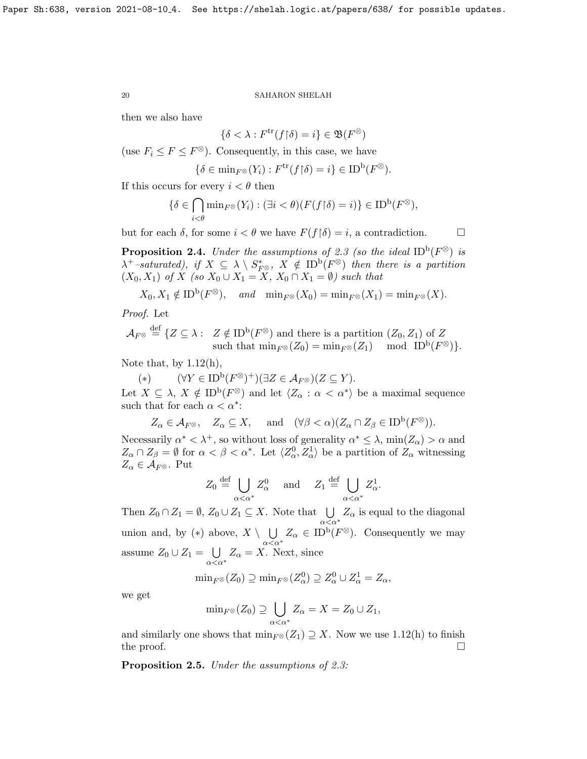then we also have

$$
\{\delta < \lambda : F^{\text{tr}}(f \restriction \delta) = i\} \in \mathfrak{B}(F^{\otimes})
$$

(use  $F_i \leq F \leq F^{\otimes}$ ). Consequently, in this case, we have

$$
\{\delta \in \min_{F^{\otimes}} (Y_i) : F^{\text{tr}}(f \restriction \delta) = i\} \in \text{ID}^{\text{b}}(F^{\otimes}).
$$

If this occurs for every  $i < \theta$  then

$$
\{\delta\in\bigcap_{i<\theta}\min_{F^\otimes}(Y_i):(\exists i<\theta)(F(f{\restriction}\delta)=i)\}\in{\rm ID}^{\rm b}(F^\otimes),
$$

but for each  $\delta$ , for some  $i < \theta$  we have  $F(f | \delta) = i$ , a contradiction.

<span id="page-19-0"></span>**Proposition 2.4.** Under the assumptions of [2.3](#page-18-0) (so the ideal  $ID^b(F^{\otimes})$  is  $\lambda^+$ -saturated), if  $X \subseteq \lambda \setminus S^*_{F^{\otimes}}$ ,  $X \notin \mathrm{ID}^{\mathrm{b}}(F^{\otimes})$  then there is a partition  $(X_0, X_1)$  of X (so  $X_0 \cup X_1 = X$ ,  $X_0 \cap X_1 = \emptyset$ ) such that

$$
X_0, X_1 \notin \text{ID}^{\text{b}}(F^{\otimes}), \quad \text{and} \quad \min_{F^{\otimes}} (X_0) = \min_{F^{\otimes}} (X_1) = \min_{F^{\otimes}} (X).
$$

Proof. Let

$$
\mathcal{A}_{F^\otimes}\stackrel{\text{def}}{=} \{Z\subseteq\lambda: \ Z\notin{\rm ID}^{\rm b}(F^\otimes) \text{ and there is a partition } (Z_0,Z_1) \text{ of } Z \text{ such that } \min_{F^\otimes}(Z_0)=\min_{F^\otimes}(Z_1) \mod{\rm ID}^{\rm b}(F^\otimes)\}.
$$

Note that, by  $1.12(h)$ ,

(\*)  $(\forall Y \in \text{ID}^{\text{b}}(F^{\otimes})^{+})(\exists Z \in \mathcal{A}_{F^{\otimes}})(Z \subseteq Y).$ 

Let  $X \subseteq \lambda$ ,  $X \notin \text{ID}^{\text{b}}(F^{\otimes})$  and let  $\langle Z_{\alpha} : \alpha < \alpha^* \rangle$  be a maximal sequence such that for each  $\alpha < \alpha^*$ :

$$
Z_{\alpha} \in \mathcal{A}_{F^{\otimes}}, \quad Z_{\alpha} \subseteq X, \quad \text{and} \quad (\forall \beta < \alpha)(Z_{\alpha} \cap Z_{\beta} \in ID^{b}(F^{\otimes})).
$$

Necessarily  $\alpha^* < \lambda^+$ , so without loss of generality  $\alpha^* \leq \lambda$ ,  $\min(Z_\alpha) > \alpha$  and  $Z_{\alpha} \cap Z_{\beta} = \emptyset$  for  $\alpha < \beta < \alpha^*$ . Let  $\langle Z_{\alpha}^0, Z_{\alpha}^1 \rangle$  be a partition of  $Z_{\alpha}$  witnessing  $Z_{\alpha} \in \mathcal{A}_{F^{\otimes}}$ . Put

$$
Z_0 \stackrel{\text{def}}{=} \bigcup_{\alpha < \alpha^*} Z_\alpha^0 \quad \text{and} \quad Z_1 \stackrel{\text{def}}{=} \bigcup_{\alpha < \alpha^*} Z_\alpha^1.
$$

Then  $Z_0 \cap Z_1 = \emptyset$ ,  $Z_0 \cup Z_1 \subseteq X$ . Note that  $\bigcup Z_\alpha$  is equal to the diagonal  $\alpha<\alpha^*$ union and, by  $(*)$  above,  $X \setminus \bigcup$  $\bigcup_{\alpha<\alpha^*}Z_\alpha\in{\rm ID}^{\rm b}(F^\otimes).$  Consequently we may assume  $Z_0 \cup Z_1 = \bigcup$  $\bigcup_{\alpha<\alpha^*}Z_{\alpha}=X.$  Next, since

$$
\min_{F^{\otimes}}(Z_0) \supseteq \min_{F^{\otimes}}(Z_{\alpha}^0) \supseteq Z_{\alpha}^0 \cup Z_{\alpha}^1 = Z_{\alpha},
$$

we get

$$
\min_{F^{\otimes}}(Z_0) \supseteq \bigcup_{\alpha < \alpha^*} Z_{\alpha} = X = Z_0 \cup Z_1,
$$

and similarly one shows that  $\min_{F \otimes}(Z_1) \supseteq X$ . Now we use [1.12\(](#page-9-0)h) to finish the proof.  $\Box$ 

Proposition 2.5. Under the assumptions of [2.3:](#page-18-0)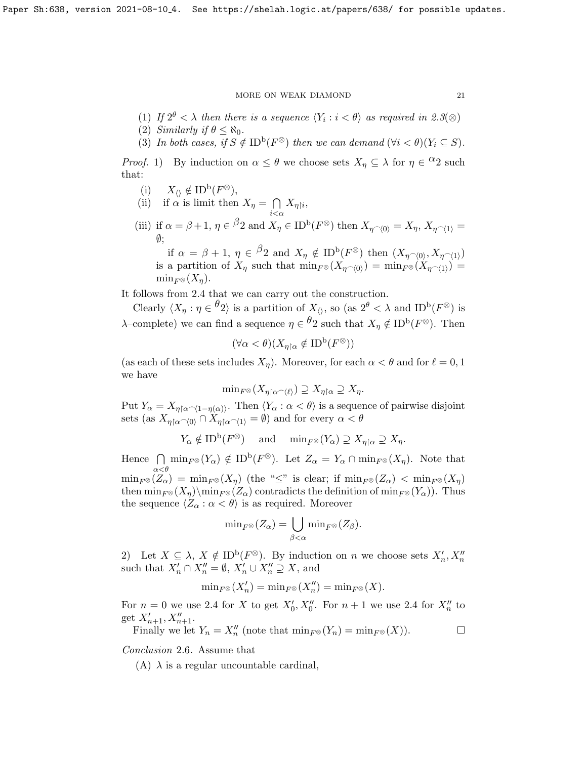- (1) If  $2^{\theta} < \lambda$  then there is a sequence  $\langle Y_i : i < \theta \rangle$  as required in [2.3](#page-18-0)( $\otimes$ )
- (2) Similarly if  $\theta \leq \aleph_0$ .
- (3) In both cases, if  $S \notin ID^b(F^\otimes)$  then we can demand  $(\forall i < \theta)(Y_i \subseteq S)$ .

*Proof.* 1) By induction on  $\alpha \leq \theta$  we choose sets  $X_{\eta} \subseteq \lambda$  for  $\eta \in {}^{\Omega}2$  such that:

- (i)  $X_{\langle\rangle} \notin \mathrm{ID}^{\mathrm{b}}(F^{\otimes}),$
- (ii) if  $\alpha$  is limit then  $X_{\eta} = \bigcap$  $i<\alpha$  $X_{\eta{\restriction} i},$
- (iii) if  $\alpha = \beta + 1$ ,  $\eta \in {}^{\beta}2$  and  $X_{\eta} \in ID^{\mathrm{b}}(F^{\otimes})$  then  $X_{\eta} \sim_{0} V = X_{\eta}, X_{\eta} \sim_{1} V =$ ∅;

if  $\alpha = \beta + 1$ ,  $\eta \in \beta_2$  and  $X_\eta \notin \mathrm{ID}^{\mathrm{b}}(F^\otimes)$  then  $(X_{\eta \cap \langle 0 \rangle}, X_{\eta \cap \langle 1 \rangle})$ is a partition of  $X_\eta$  such that  $\min_{F \otimes}(X_{\eta \frown \langle 0 \rangle}) = \min_{F \otimes}(X_{\eta \frown \langle 1 \rangle}) =$  $\min_{F^\otimes}(X_\eta).$ 

It follows from [2.4](#page-19-0) that we can carry out the construction.

Clearly  $\langle X_\eta : \eta \in \theta_2 \rangle$  is a partition of  $X_{\langle \rangle}$ , so (as  $2^{\theta} < \lambda$  and ID<sup>b</sup>( $F^{\otimes}$ ) is λ–complete) we can find a sequence  $η \in \frac{θ}{2}$  such that  $Xη \notin ID<sup>b</sup>(F<sup>®</sup>)$ . Then

$$
(\forall \alpha < \theta)(X_{\eta \restriction \alpha} \notin \text{ID}^{\text{b}}(F^{\otimes}))
$$

(as each of these sets includes  $X_{\eta}$ ). Moreover, for each  $\alpha < \theta$  and for  $\ell = 0, 1$ we have

$$
\mathrm{min}_{F^\otimes}(X_{\eta\restriction \alpha\widehat{\phantom{\alpha}} \langle \ell \rangle}) \supseteq X_{\eta\restriction \alpha} \supseteq X_\eta.
$$

Put  $Y_\alpha = X_{\eta \upharpoonright \alpha \cap (1 - \eta(\alpha))}$ . Then  $\langle Y_\alpha : \alpha < \theta \rangle$  is a sequence of pairwise disjoint sets (as  $X_{\eta | \alpha \sim (0)} \cap X_{\eta | \alpha \sim (1)} = \emptyset$ ) and for every  $\alpha < \theta$ 

$$
Y_{\alpha} \notin ID^{\mathbf{b}}(F^{\otimes})
$$
 and  $\min_{F^{\otimes}} (Y_{\alpha}) \supseteq X_{\eta \upharpoonright \alpha} \supseteq X_{\eta}.$ 

Hence  $\bigcap$  $\bigcap_{\alpha < \theta} \min_{F^\otimes}(Y_\alpha) \notin \mathrm{ID}^{\mathrm{b}}(F^\otimes)$ . Let  $Z_\alpha = Y_\alpha \cap \min_{F^\otimes}(X_\eta)$ . Note that  $\min_{F \otimes} (Z_{\alpha}) = \min_{F \otimes} (X_{\eta})$  (the "≤" is clear; if  $\min_{F \otimes} (Z_{\alpha}) < \min_{F \otimes} (X_{\eta})$ then  $\min_{F \otimes (X_{\eta}) \setminus \min_{F \otimes (Z_{\alpha})}$  contradicts the definition of  $\min_{F \otimes (Y_{\alpha})}$ . Thus the sequence  $\langle Z_{\alpha} : \alpha < \theta \rangle$  is as required. Moreover

$$
\min_{F^{\otimes}}(Z_{\alpha}) = \bigcup_{\beta < \alpha} \min_{F^{\otimes}}(Z_{\beta}).
$$

2) Let  $X \subseteq \lambda$ ,  $X \notin \text{ID}^{\text{b}}(F^{\otimes})$ . By induction on n we choose sets  $X'_{n}, X''_{n}$ such that  $X'_n \cap X''_n = \emptyset$ ,  $X'_n \cup X''_n \supseteq X$ , and

$$
\min_{F^{\otimes}}(X'_n) = \min_{F^{\otimes}}(X''_n) = \min_{F^{\otimes}}(X).
$$

For  $n = 0$  we use [2.4](#page-19-0) for X to get  $X'_0, X''_0$ . For  $n + 1$  we use 2.4 for  $X''_n$  to get  $X'_{n+1}, X''_{n+1}$ .

Finally we let 
$$
Y_n = X_n''
$$
 (note that  $\min_{F^\otimes}(Y_n) = \min_{F^\otimes}(X)$ ).

Conclusion 2.6. Assume that

(A)  $\lambda$  is a regular uncountable cardinal,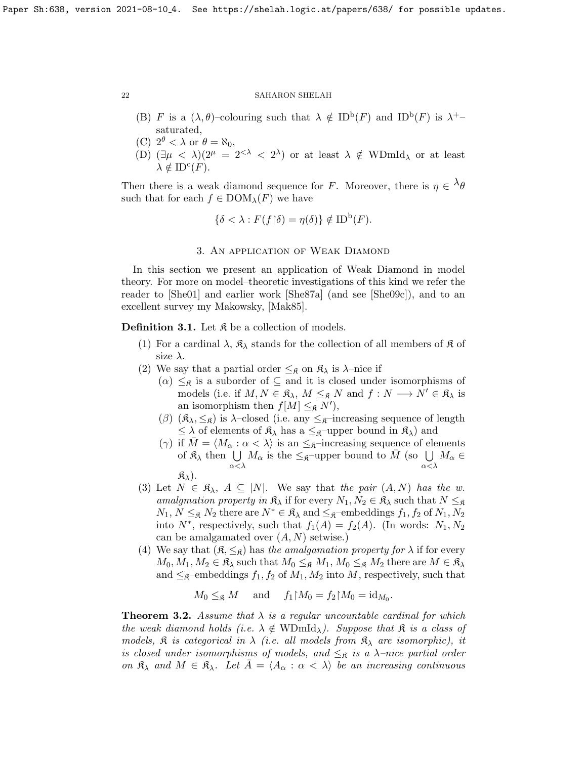- (B) F is a  $(\lambda, \theta)$ -colouring such that  $\lambda \notin ID^b(F)$  and  $ID^b(F)$  is  $\lambda^+$ saturated,
- (C)  $2^{\theta} < \lambda$  or  $\theta = \aleph_0$ ,
- (D)  $(\exists \mu \langle \lambda \rangle)(2^{\mu} = 2^{\langle \lambda \rangle} \langle 2^{\lambda} \rangle)$  or at least  $\lambda \notin \text{WDmId}_{\lambda}$  or at least  $\lambda \notin \mathrm{ID}^{\mathrm{c}}(F).$

Then there is a weak diamond sequence for F. Moreover, there is  $\eta \in {}^{\lambda} \theta$ such that for each  $f \in \text{DOM}_{\lambda}(F)$  we have

$$
\{\delta < \lambda : F(f \upharpoonright \delta) = \eta(\delta)\} \notin \text{ID}^{\text{b}}(F).
$$

## 3. An application of Weak Diamond

In this section we present an application of Weak Diamond in model theory. For more on model–theoretic investigations of this kind we refer the reader to [\[She01\]](#page-23-8) and earlier work [\[She87a\]](#page-23-9) (and see [\[She09c\]](#page-24-6)), and to an excellent survey my Makowsky, [\[Mak85\]](#page-23-10).

<span id="page-21-0"></span>**Definition 3.1.** Let  $\mathfrak{K}$  be a collection of models.

- (1) For a cardinal  $\lambda$ ,  $\mathfrak{K}_{\lambda}$  stands for the collection of all members of  $\mathfrak{K}$  of size  $\lambda$ .
- (2) We say that a partial order  $\leq_{\mathfrak{K}}$  on  $\mathfrak{K}_{\lambda}$  is  $\lambda$ -nice if
	- $(\alpha) \leq_{\mathfrak{K}}$  is a suborder of  $\subseteq$  and it is closed under isomorphisms of models (i.e. if  $M, N \in \mathfrak{K}_{\lambda}, M \leq_{\mathfrak{K}} N$  and  $f : N \longrightarrow N' \in \mathfrak{K}_{\lambda}$  is an isomorphism then  $f[M] \leq_{\mathfrak{K}} N'$ ,
	- (β)  $(\mathfrak{K}_{\lambda}, \leq_{\mathfrak{K}})$  is  $\lambda$ -closed (i.e. any  $\leq_{\mathfrak{K}}$ -increasing sequence of length  $\leq \lambda$  of elements of  $\mathfrak{K}_{\lambda}$  has a  $\leq_{\mathfrak{K}}$ -upper bound in  $\mathfrak{K}_{\lambda}$  and
	- (γ) if  $M = \langle M_{\alpha} : \alpha < \lambda \rangle$  is an  $\leq_{\mathfrak{K}}$ -increasing sequence of elements of  $\mathfrak{K}_{\lambda}$  then  $\bigcup M_{\alpha}$  is the  $\leq_{\mathfrak{K}}$ -upper bound to  $\overline{M}$  (so  $\bigcup M_{\alpha} \in$ α<λ α<λ  $\mathfrak{K}_{\lambda}$ ).
- (3) Let  $N \in \mathfrak{K}_{\lambda}, A \subseteq |N|$ . We say that the pair  $(A, N)$  has the w. amalgmation property in  $\mathfrak{K}_{\lambda}$  if for every  $N_1, N_2 \in \mathfrak{K}_{\lambda}$  such that  $N \leq_{\mathfrak{K}}$  $N_1, N \leq_{\mathfrak{K}} N_2$  there are  $N^* \in \mathfrak{K}_{\lambda}$  and  $\leq_{\mathfrak{K}}$ –embeddings  $f_1, f_2$  of  $N_1, N_2$ into  $N^*$ , respectively, such that  $f_1(A) = f_2(A)$ . (In words:  $N_1, N_2$ can be amalgamated over  $(A, N)$  setwise.)
- (4) We say that  $(\mathfrak{K}, \leq_{\mathfrak{K}})$  has the amalgamation property for  $\lambda$  if for every  $M_0, M_1, M_2 \in \mathfrak{K}_{\lambda}$  such that  $M_0 \leq_{\mathfrak{K}} M_1, M_0 \leq_{\mathfrak{K}} M_2$  there are  $M \in \mathfrak{K}_{\lambda}$ and  $\leq_{\mathfrak{K}}$ -embeddings  $f_1, f_2$  of  $M_1, M_2$  into M, respectively, such that

$$
M_0 \leq_{\mathfrak{K}} M
$$
 and  $f_1 \upharpoonright M_0 = f_2 \upharpoonright M_0 = id_{M_0}$ .

**Theorem 3.2.** Assume that  $\lambda$  is a regular uncountable cardinal for which the weak diamond holds (i.e.  $\lambda \notin \mathrm{WDmId}_{\lambda}$ ). Suppose that  $\mathfrak{K}$  is a class of models,  $\hat{\mathbf{x}}$  is categorical in  $\lambda$  (i.e. all models from  $\hat{\mathbf{x}}_{\lambda}$  are isomorphic), it is closed under isomorphisms of models, and  $\leq_{\mathfrak{K}}$  is a  $\lambda$ -nice partial order on  $\mathfrak{K}_{\lambda}$  and  $M \in \mathfrak{K}_{\lambda}$ . Let  $A = \langle A_{\alpha} : \alpha < \lambda \rangle$  be an increasing continuous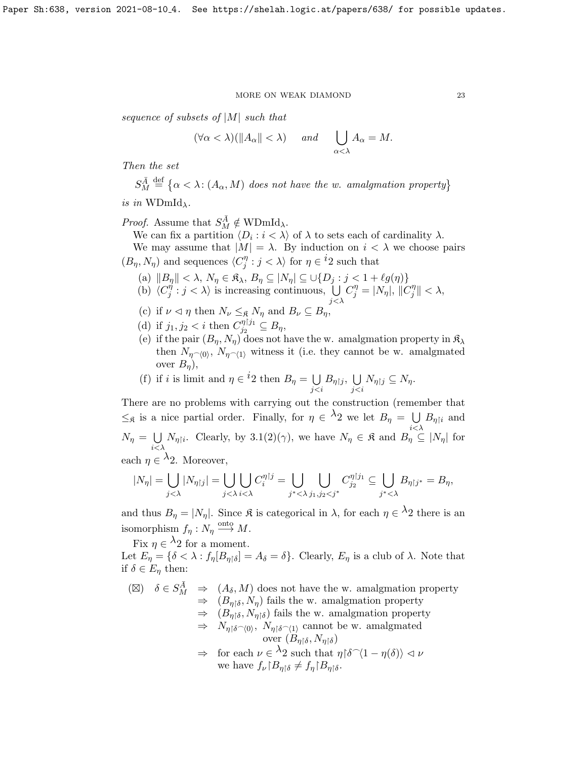sequence of subsets of  $|M|$  such that

$$
(\forall \alpha < \lambda)(\|A_{\alpha}\| < \lambda) \quad \text{and} \quad \bigcup_{\alpha < \lambda} A_{\alpha} = M.
$$

Then the set

$$
S_M^{\overline{A}} \stackrel{\text{def}}{=} \{ \alpha < \lambda : (A_\alpha, M) \text{ does not have the } w \text{. } \text{amalgmation property} \}
$$

is in WDmId<sub> $\lambda$ </sub>.

*Proof.* Assume that  $S_M^{\overline{A}} \notin WDmId_\lambda$ .

We can fix a partition  $\langle D_i : i \langle \lambda \rangle$  of  $\lambda$  to sets each of cardinality  $\lambda$ .

We may assume that  $|M| = \lambda$ . By induction on  $i < \lambda$  we choose pairs  $(B_{\eta}, N_{\eta})$  and sequences  $\langle C_{i}^{\eta} \rangle$  $j^{\eta}$ :  $j < \lambda$  for  $\eta \in {}^{i}2$  such that

- (a)  $||B_{\eta}|| < \lambda, N_{\eta} \in \mathfrak{K}_{\lambda}, B_{\eta} \subseteq |N_{\eta}| \subseteq \cup \{D_j : j < 1 + \ell g(\eta)\}\$
- (b)  $\langle C_i^{\eta}$  $j^{\eta}$  :  $j < \lambda$  is increasing continuous,  $\bigcup$  $j<\lambda$  $C_j^{\eta} = |N_{\eta}|, \, ||C_j^{\eta}|$  $\frac{\eta}{j}$   $\parallel$   $<$   $\lambda$ ,
- (c) if  $\nu \lhd \eta$  then  $N_{\nu} \leq_{\mathfrak{K}} N_{\eta}$  and  $B_{\nu} \subseteq B_{\eta}$
- (d) if  $j_1, j_2 < i$  then  $C_{j_2}^{\eta|j_1}$  $j_2^{\eta_1\eta_1}\subseteq B_\eta,$
- (e) if the pair  $(B_n, N_n)$  does not have the w. amalgmation property in  $\mathfrak{K}_{\lambda}$ then  $N_{\eta\sim(0)}$ ,  $N_{\eta\sim(1)}$  witness it (i.e. they cannot be w. amalgmated over  $B_n$ ),
- (f) if i is limit and  $\eta \in {}^{i}2$  then  $B_{\eta} = \bigcup$ j<i  $B_{\eta\restriction j},\; \bigcup\;$ j<i  $N_{\eta\restriction j}\subseteq N_{\eta}.$

There are no problems with carrying out the construction (remember that  $\leq_{\mathfrak{K}}$  is a nice partial order. Finally, for  $\eta \in \lambda_2$  we let  $B_{\eta} = \bigcup B_{\eta}$  and  $i<\lambda$  $N_{\eta} = \bigcup$  $i<\lambda$  $N_{\eta|i}$ . Clearly, by [3.1\(](#page-21-0)2)( $\gamma$ ), we have  $N_{\eta} \in \mathfrak{K}$  and  $B_{\eta} \subseteq |N_{\eta}|$  for

each  $\eta \in \lambda_2$ . Moreover,

$$
|N_{\eta}| = \bigcup_{j < \lambda} |N_{\eta\upharpoonright j}| = \bigcup_{j < \lambda} \bigcup_{i < \lambda} C_i^{\eta\upharpoonright j} = \bigcup_{j^* < \lambda} \bigcup_{j_1, j_2 < j^*} C_{j_2}^{\eta\upharpoonright j_1} \subseteq \bigcup_{j^* < \lambda} B_{\eta\upharpoonright j^*} = B_{\eta},
$$

and thus  $B_{\eta} = |N_{\eta}|$ . Since  $\mathfrak{K}$  is categorical in  $\lambda$ , for each  $\eta \in \lambda_2$  there is an isomorphism  $f_{\eta}: N_{\eta} \stackrel{\text{onto}}{\longrightarrow} M$ .

Fix  $\eta \in \lambda_2$  for a moment.

Let  $E_{\eta} = \{\delta < \lambda : f_{\eta}[B_{\eta|\delta}] = A_{\delta} = \delta\}$ . Clearly,  $E_{\eta}$  is a club of  $\lambda$ . Note that if  $\delta \in E_{\eta}$  then:

 $(\boxtimes) \quad \delta \in S^{\bar{A}}_M \Rightarrow (A_{\delta}, M)$  does not have the w. amalgmation property  $\Rightarrow$   $(B_{n\delta}, N_n)$  fails the w. amalgmation property  $\Rightarrow$   $(B_{\eta\upharpoonright \delta}, N_{\eta\upharpoonright \delta})$  fails the w. amalgmation property  $\Rightarrow N_{\eta\upharpoonright \delta \cap (0)}, N_{\eta\upharpoonright \delta \cap (1)}$  cannot be w. amalgmated over  $(B_{\eta\upharpoonright\delta}, N_{\eta\upharpoonright\delta})$  $\Rightarrow$  for each  $\nu \in \lambda_2$  such that  $\eta \upharpoonright \delta \hat{ } \langle 1 - \eta(\delta) \rangle \langle \nu \rangle$ 

we have 
$$
f_{\nu} | B_{\eta} \upharpoonright \delta \neq f_{\eta} | B_{\eta} \upharpoonright \delta
$$
.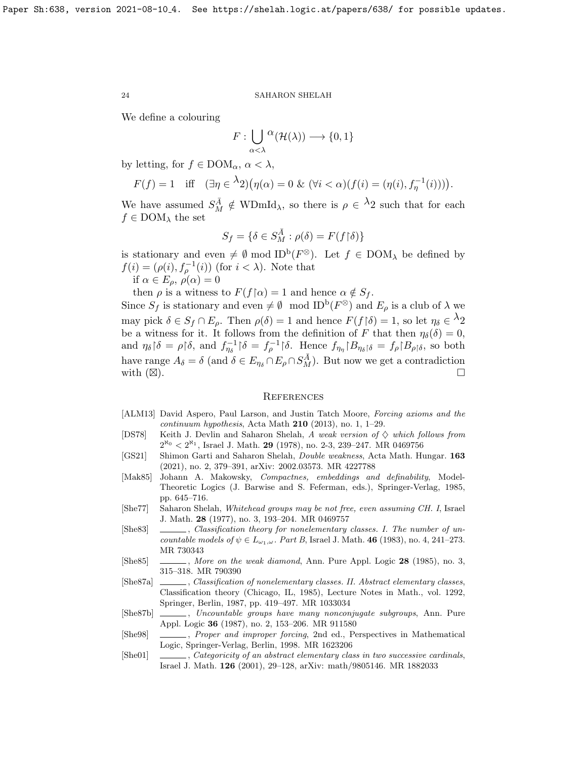We define a colouring

$$
F: \bigcup_{\alpha < \lambda} {}^{\textstyle \alpha}({\mathcal H}(\lambda)) \longrightarrow \{0,1\}
$$

by letting, for  $f \in DOM_\alpha, \alpha<\lambda$ ,

$$
F(f) = 1 \quad \text{iff} \quad (\exists \eta \in {}^{\lambda}2) \big( \eta(\alpha) = 0 \& (\forall i < \alpha) (f(i) = (\eta(i), f_{\eta}^{-1}(i))) \big).
$$

We have assumed  $S_M^{\overline{A}} \notin WDmId_\lambda$ , so there is  $\rho \in {}^{\lambda}2$  such that for each  $f \in \text{DOM}_{\lambda}$  the set

$$
S_f=\{\delta\in S_M^{\bar A}:\rho(\delta)=F(f{\restriction}\delta)\}
$$

is stationary and even  $\neq \emptyset$  mod ID<sup>b</sup>( $F^{\otimes}$ ). Let  $f \in$  DOM<sub> $\lambda$ </sub> be defined by  $f(i) = (\rho(i), f_{\rho}^{-1}(i))$  (for  $i < \lambda$ ). Note that if  $\alpha \in E_{\rho}, \rho(\alpha) = 0$ 

then  $\rho$  is a witness to  $F(f \upharpoonright \alpha) = 1$  and hence  $\alpha \notin S_f$ .

Since  $S_f$  is stationary and even  $\neq \emptyset$  mod  $\text{ID}^{\text{b}}(F^{\otimes})$  and  $E_{\rho}$  is a club of  $\lambda$  we may pick  $\delta \in S_f \cap E_\rho$ . Then  $\rho(\delta) = 1$  and hence  $F(f | \delta) = 1$ , so let  $\eta_\delta \in {}^{\lambda}2$ be a witness for it. It follows from the definition of F that then  $\eta_{\delta}(\delta) = 0$ , and  $\eta_{\delta}$  |δ =  $\rho$ |δ, and  $f_{\eta_{\delta}}^{-1}$ |δ =  $f_{\rho}^{-1}$ |δ. Hence  $f_{\eta_{\eta}}$ | $B_{\eta_{\delta}}$ |δ =  $f_{\rho}$ | $B_{\rho}$ |δ, so both have range  $A_{\delta} = \delta$  (and  $\delta \in E_{\eta_{\delta}} \cap E_{\rho} \cap S_M^{\overline{A}}$ ). But now we get a contradiction with  $(\boxtimes)$ . ).  $\Box$ 

#### **REFERENCES**

- <span id="page-23-0"></span>[ALM13] David Aspero, Paul Larson, and Justin Tatch Moore, Forcing axioms and the continuum hypothesis, Acta Math  $210$  (2013), no. 1, 1–29.
- <span id="page-23-1"></span>[DS78] Keith J. Devlin and Saharon Shelah, A weak version of  $\diamond$  which follows from  $2^{\aleph_0} < 2^{\aleph_1}$ , Israel J. Math. 29 (1978), no. 2-3, 239–247. MR 0469756
- <span id="page-23-2"></span>[GS21] Shimon Garti and Saharon Shelah, Double weakness, Acta Math. Hungar. 163 (2021), no. 2, 379–391, [arXiv: 2002.03573.](https://arxiv.org/abs/2002.03573) MR 4227788
- <span id="page-23-10"></span>[Mak85] Johann A. Makowsky, Compactnes, embeddings and definability, Model-Theoretic Logics (J. Barwise and S. Feferman, eds.), Springer-Verlag, 1985, pp. 645–716.
- <span id="page-23-4"></span>[She77] Saharon Shelah, Whitehead groups may be not free, even assuming CH. I, Israel J. Math. 28 (1977), no. 3, 193–204. MR 0469757
- <span id="page-23-7"></span>[She83] , Classification theory for nonelementary classes. I. The number of uncountable models of  $\psi \in L_{\omega_1,\omega}$ . Part B, Israel J. Math. 46 (1983), no. 4, 241–273. MR 730343
- <span id="page-23-6"></span>[She85] , More on the weak diamond, Ann. Pure Appl. Logic 28 (1985), no. 3, 315–318. MR 790390
- <span id="page-23-9"></span>[She87a] , Classification of nonelementary classes. II. Abstract elementary classes, Classification theory (Chicago, IL, 1985), Lecture Notes in Math., vol. 1292, Springer, Berlin, 1987, pp. 419–497. MR 1033034
- <span id="page-23-5"></span>[She87b] , Uncountable groups have many nonconjugate subgroups, Ann. Pure Appl. Logic 36 (1987), no. 2, 153–206. MR 911580
- <span id="page-23-3"></span>[She98] , Proper and improper forcing, 2nd ed., Perspectives in Mathematical Logic, Springer-Verlag, Berlin, 1998. MR 1623206
- <span id="page-23-8"></span>[She01] , Categoricity of an abstract elementary class in two successive cardinals, Israel J. Math. 126 (2001), 29–128, [arXiv: math/9805146.](https://arxiv.org/abs/math/9805146) MR 1882033